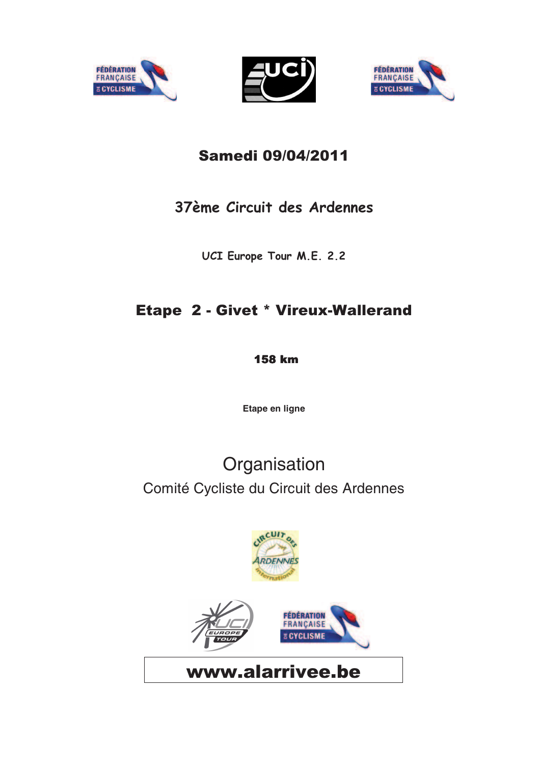





#### Samedi 09/04/2011

#### 37ème Circuit des Ardennes

UCI Europe Tour M.E. 2.2

#### **Etape 2 - Givet \* Vireux-Wallerand**

**158 km** 

**Etape en ligne**

# Comité Cycliste du Circuit des Ardennes **Organisation**

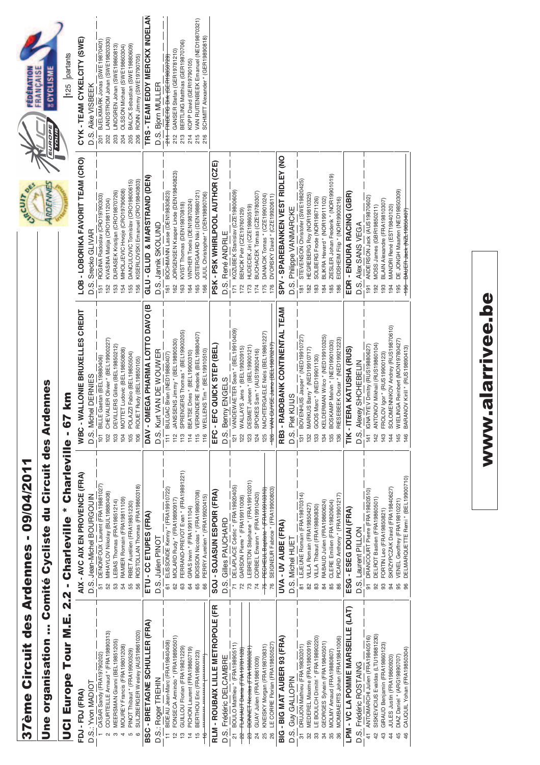# 37ème Circuit des Ardennes - 09/04/2011 ème Circ uit des Ardennes - 09/04/2011

# Une organisation ... Comité Cycliste du Circuit des Ardennes uit des Ardennes liste du Circ Une organisation ... Comité Cyc

# UCI Europe Tour M.E. 2.2 - Charleville \* Charleville - 67 UCI Europe Tour M.E. 2.2 - Charleville \* Charleville - 67 km

| 125 partants<br>UROPE.<br>TOUR) | CYK - TEAM CYKELCITY (SWE)      | D.S. Aike VISBEEK  |
|---------------------------------|---------------------------------|--------------------|
| ich'                            | LOB-LOBORIKA FAVORIT TEAM (CRO) | D.S. Srecko GLIVAR |

| FDJ - FDJ (FRA)                                                       | AIX - AVC AIX EN PROVENCE (FRA)                                      | ALLONIE BRUXELLES CREDIT<br>WBC-W                                            | LOB - LOBORIKA FAVORIT TEAM (CRO)                                                    | CYK - TEAM CYKELCITY (SWE)                                                 |
|-----------------------------------------------------------------------|----------------------------------------------------------------------|------------------------------------------------------------------------------|--------------------------------------------------------------------------------------|----------------------------------------------------------------------------|
| D.S.: Yvon MADIOT                                                     | D.S. Jean-Michel BOURGOUIN                                           | D.S. Michel DERNIES                                                          | D.S. Srecko GLIVAR                                                                   | D.S. Aike VISBEEK                                                          |
| CASAR Sandy (FRA19790202)                                             | DENONFOUX Laurent (FRA19881027)                                      | Gaetan (BEL19880406)<br>101 BILLE                                            | ROGINA Radoslav (CRO19790303)<br>151                                                 | BJELKMARK Jonas (SWE19870401)<br>201                                       |
| COURTEILLE Amaud * (FRA19890313)<br>$\sim$                            | MIHAYLOV Nikolay (BUL19880408)                                       | CHEVALIER Olivier * (BEL19900227)<br>102                                     | KVASINA Matija (CRO19811204)<br>152                                                  | LANDSTROM Johan (SWE19820330)<br>202                                       |
| MEERSMAN Gianni (BEL19851205)                                         | RAMIER Romain (FRA19811109)<br>LEBAS Thomas (FRA19851214)<br>54      | DEVILLERS Gilles (BEL19850212)<br>MOTTET Ludovic (BEL19850808)<br>104<br>103 | MIHOLJEVIC Hrvoje (CRO19790608)<br>DURASEK Kristijan (CRO19870726)<br>153<br>154     | LINDGREN Johan (SWE19860813)<br>OLSSON Michael (SWE19860304)<br>203<br>204 |
| MOUREY Francis (FRA19801208)<br>4                                     |                                                                      |                                                                              |                                                                                      |                                                                            |
| SULZBERGER Wesley (AUS19861020)<br>PINOT Thibaut * (FRA19900529)<br>Б | ROSTOLLAN Thomas (FRA19860318)<br>RIBET Aurélien (FRA19851230)<br>55 | POLAZZI Fabio (BEL19850504)<br>ROUET Rudy (BEL19850105)<br>105<br>106        | DANCULOVIC Tomislav (CRO19800615)<br>KISERLOVSKI Emanuel (CRO19840803)<br>155<br>156 | BALCK Sebastian (SWE19880609)<br>RONN Jimmy (SWE19790705)<br>205<br>206    |
|                                                                       |                                                                      |                                                                              |                                                                                      |                                                                            |
| BSC - BRETAGNE SCHULLER (FRA)                                         | ETU - CC ETUPES (FRA)                                                | DAV - OMEGA PHARMA LOTTO DAVO (B                                             | GLU-GLUD & MARSTRAND (DEN)                                                           | TRS - TEAM EDDY MERCKX INDELAN                                             |
| D.S.: Roger TREHIN                                                    | D.S. Julien PINOT                                                    | D.S. Kurt VAN DE WOUWER                                                      | D.S. Jannik SKOLUND                                                                  | D.S. Bjorn MULLER                                                          |
| 11 BIDEAU Jean-Marc (FRA19840408)                                     | 61 ELISSONDE Kenny * (FRA19910722)                                   | 111 BULGAC Brian (NED19880407)                                               | 161 BOCHMANN Lasse (DEN19830823)                                                     | 211 FINDERS Dirk (GER19850729)                                             |
| FONSECA Armindo * (FRA19890501)                                       | MOLARD Rudy * (FRA19890917)                                          | JANSSENS Jimmy * (BEL19890530)<br>112                                        | JORGENSEN Kasper Linde (DEN19840823)                                                 | GANSER Stefan (GER19781210)<br>212                                         |
| GUILLOU Florian (FRA19821229)<br>უ                                    | FERRAND-PREVOT Evan * (FRA19891221)<br>63                            | SPRENGERS Thomas * (BEL19900205)<br>113                                      | KVIST Thomas (DEN19870818)<br>163                                                    | BERTLING Matthias (GER19870706)<br>213                                     |
| PICHON Laurent (FRA19860719)<br>$\frac{4}{3}$                         | GRAS Irwin * (FRA19911104)<br>64                                     | BEATSE Dries * (BEL19900310)<br>114                                          | VINTHER Troels (DEN19870224)<br>164                                                  | KOPP David (GER19790105)<br>214                                            |
| BERTHOU Eric (FRA19800123)<br>LO                                      | BOISSON Nicolas * (FRA19890708)<br>65                                | VERKINDERE Frederik (BEL19880407)<br>115                                     | OSTERGAARD NIki (DEN19880121)<br>165                                                 | VAN RUITENBEEK Emanuel (NED19870321)<br>215                                |
| ********** ********* /***********                                     | PERRY Aurelien * (FRA19920415)<br>66                                 | WELLENS Tim * (BEL19910510)<br>116                                           | JUUL Christopher * (DEN19890706)<br>166                                              | SCHMITT Alexander * (GER19890818)<br>216                                   |
| RLM - ROUBAIX LILLE METROPOLE (FR                                     | SOJ - SOJASUN ESPOIR (FRA)                                           | <b>C QUICK STEP (BEL</b><br>EFC-EF                                           | PSK - PSK WHIRLPOOL AUTHOR (CZE)                                                     |                                                                            |
| D.S. Frédéric DELCAMBRE                                               | D.S. Gilles PAUCHARD                                                 | D.S. Benny ENGELS                                                            | D.S. René ANDRLE                                                                     |                                                                            |
| BOULO Matthieu * (FRA19890511)<br>ಸ                                   | DELAPLACE Cédric * (FRA19920405)                                     | 121 VANDEWAETER Sean * (BEL19910409)                                         | KOZUBEK Stanislav (CZE19800609)                                                      |                                                                            |
| FLAHAUT Denis (FRA19781128)                                           | GARSON Pierre * (FRA19911008)                                        | WALLAYS Jens * (BEL19920915)<br>122                                          | BENCIK Petr (CZE19760129)                                                            |                                                                            |
| 23 BONNET Nicolas (FRA19880321)                                       | LEBRETON Stéphane * (FRA19910201)                                    | DESMET Jeroen * (BEL19900121)<br>123                                         | HUDECEK Jiri (CZE19860519)                                                           |                                                                            |
| GUAY Julien (FRA19861009)                                             | CORBEL Erwann * (FRA19910420)<br>$\overline{74}$                     | SPOKES Sam * (AUS19920416)<br>124                                            | BUCHACEK Tomas (CZE19780307)<br>174                                                  |                                                                            |
| KNEISKY Morgan (FRA19870831)<br>25                                    | 75 PECHEUL Baptiste * (FRA19910310)                                  | NACHTERGAELE Niels (BEL19861227)<br>125                                      | DANACIK Tomas * (CZE19901024)<br>175                                                 |                                                                            |
| LE CORRE Florian (FRA19850527)<br>26                                  | SEIGNEUR Fabrice * (FRA19900803)<br>76                               | 126 VAN GUYSE Jamo (BEL19870217)                                             | DVORSKY David * (CZE19920611)<br>176                                                 |                                                                            |
| BIG - BIG MAT AUBER 93 (FRA)                                          | UVA - UV AUBE (FRA)                                                  | BOBANK CONTINENTAL TEAM<br><b>RB3 - RA</b>                                   | SPV - SPAREBANKEN VEST RIDLEY (NO                                                    |                                                                            |
| D.S. Guy GALLOPIN                                                     | D.S. Michel HUET                                                     | KUIJS<br>D.S. Piet                                                           | D.S. Philippe VANMARCKE                                                              |                                                                            |
| DRUJON Mathieu (FRA19830201)                                          | LEJEUNE Romain (FRA19870314)<br>51                                   | BOVENHUIS Jasper* (NED19910727)<br>131                                       | STEVENSON Christofer (SWE19820425)<br>$\frac{18}{18}$                                |                                                                            |
| MEDEREL Maxime (FRA19800919)                                          | VILLA Romain (FRA19850427)                                           | MARKUS Barry * (NED19910717)<br>132                                          | HEGREBERG Roy (NOR19810325)                                                          |                                                                            |
| LE BOULCH Dimitri* (FRA19890220)<br>33                                | VILLA Thibaut (FRA19880830)<br>83                                    | GOOS Marc * (NED19901130)<br>133                                             | SOLBERG Frode (NOR19871126)<br>183                                                   |                                                                            |
| GEORGES Sylvain (FRA19840501)<br>34                                   | RABAUD Julien (FRA19860624)<br>84                                    | KELDERMAN Wilco * (NED19910325)<br>134                                       | BLIKRA Havard * (NOR19911102)<br>184                                                 |                                                                            |
| MOLMY Arnaud (FRA19880807)                                            | CLERE Emilien (FRA19820604)<br>85                                    | BOSKAMP Melvin * (NED19901030)<br>135                                        | ZIESLER Johan Frederik * (NOR19901019)<br>185                                        |                                                                            |
| MOMBAERTS Johan (FRA19841006)<br>86                                   | PICARD Anthony * (FRA19901217)<br>86                                 | RIESEBEEK Oscar* (NED19921223)<br>136                                        | EIDSHEIM Filip * (NOR19900216)<br>186                                                |                                                                            |
| LPM - VC LA POMME MARSEILLE (LAT)                                     | ESG - ESEG DOUAI (FRA)                                               | TIK - ITERA KATUSHA (RUS)                                                    | EDR - ENDURA RACING (GBR)                                                            |                                                                            |
| D.S. Frédéric ROSTAING                                                | D.S. Laurent PILLON                                                  | D.S. Alexey SHCHEBELIN                                                       | D.S. Alex SANS VEGA                                                                  |                                                                            |
| 41 ANTOMARCHI Julien (FRA19840516)                                    | DRANCOURT Pierre (FRA19820510)<br>5                                  | 141 IGNATYEV Dmitry (RUS19880627)                                            | 191 ANDERSON Jack (AUS19870602)                                                      |                                                                            |
| SISKEVICIUS Evaldas (LTU19881230)<br>42                               | DELROT Bastien (FRA19860501)<br>92                                   | ANTONOV Mikhail (RUS19860104)<br>142                                         | MOSS James (GBR19850211)<br>$\frac{8}{2}$                                            |                                                                            |
| GIRAUD Benjamin (FRA19860123)<br>43                                   | FORTIN Leo (FRA19850821)<br>93                                       | FROLOV Igor * (RUS19900123)<br>143                                           | BLAIN Alexandre (FRA19810307)<br>193                                                 |                                                                            |
| JULES Justin (FRA19860920)<br>$\frac{4}{4}$                           | SKRZYPCZAK David (FRA19840627)<br>94                                 | SOLOMENNIKOV Andrey (RUS19870610)<br>144                                     | MANDRI René (EST19840120)<br>194                                                     |                                                                            |
| DIAZ Daniel * (ARG19890707)<br>45                                     | VENEL Geoffrey (FRA19810221)<br>95                                   | WIELINGA Reinbert (MON19780427<br>145                                        | DE JONGH Maarten (NED19850309)<br>195                                                |                                                                            |
| CAUQUIL Yohan (FRA19850304)<br>46                                     | DELMARQUETTE Remi * (BEL19900710)<br>96                              | BARANOV Kirill * (RUS19890413)<br>146                                        | BAUER Jack (NZL19850407)<br>$+96$                                                    |                                                                            |

# www.alarrivee.be www.alarrivee.be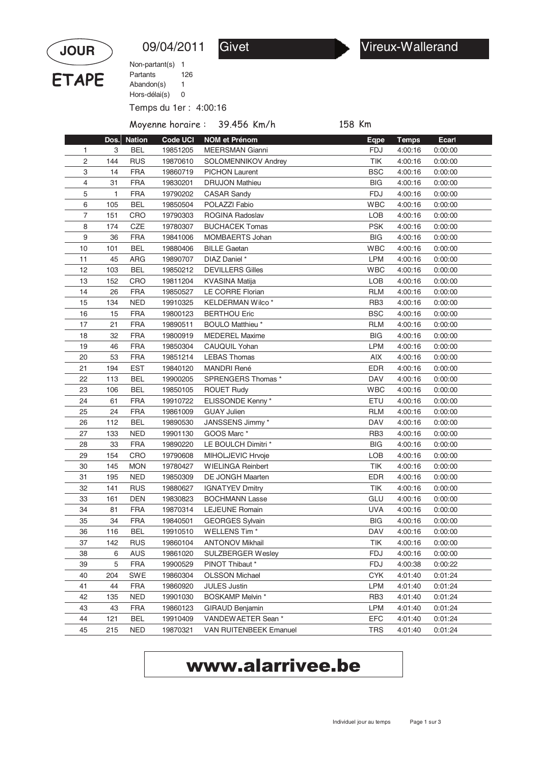

09/04/2011 Givet Vireux-Wallerand

Temps du 1er : 4:00:16 Non-partant(s) 1 Abandon(s) 1 Hors-délai(s) 0 Partants 126

Moyenne horaire : 39.456 Km/h 158 Km

|    | Dos.      | <b>Nation</b> | <b>Code UCI</b> | <b>NOM et Prénom</b>          | Eqpe            | <b>Temps</b> | <b>Ecarl</b> |  |
|----|-----------|---------------|-----------------|-------------------------------|-----------------|--------------|--------------|--|
|    | 3<br>1    | <b>BEL</b>    | 19851205        | <b>MEERSMAN Gianni</b>        | <b>FDJ</b>      | 4:00:16      | 0:00:00      |  |
|    | 2<br>144  | <b>RUS</b>    | 19870610        | SOLOMENNIKOV Andrey           | TIK             | 4:00:16      | 0:00:00      |  |
|    | 3<br>14   | <b>FRA</b>    | 19860719        | <b>PICHON Laurent</b>         | <b>BSC</b>      | 4:00:16      | 0:00:00      |  |
|    | 4<br>31   | <b>FRA</b>    | 19830201        | <b>DRUJON Mathieu</b>         | <b>BIG</b>      | 4:00:16      | 0:00:00      |  |
|    | 5<br>1    | <b>FRA</b>    | 19790202        | <b>CASAR Sandy</b>            | <b>FDJ</b>      | 4:00:16      | 0:00:00      |  |
|    | 6<br>105  | <b>BEL</b>    | 19850504        | POLAZZI Fabio                 | <b>WBC</b>      | 4:00:16      | 0:00:00      |  |
|    | 7<br>151  | CRO           | 19790303        | ROGINA Radoslav               | LOB             | 4:00:16      | 0:00:00      |  |
|    | 8<br>174  | CZE           | 19780307        | <b>BUCHACEK Tomas</b>         | <b>PSK</b>      | 4:00:16      | 0:00:00      |  |
|    | 9<br>36   | <b>FRA</b>    | 19841006        | MOMBAERTS Johan               | <b>BIG</b>      | 4:00:16      | 0:00:00      |  |
| 10 | 101       | <b>BEL</b>    | 19880406        | <b>BILLE Gaetan</b>           | <b>WBC</b>      | 4:00:16      | 0:00:00      |  |
| 11 | 45        | ARG           | 19890707        | DIAZ Daniel *                 | <b>LPM</b>      | 4:00:16      | 0:00:00      |  |
| 12 | 103       | <b>BEL</b>    | 19850212        | <b>DEVILLERS Gilles</b>       | <b>WBC</b>      | 4:00:16      | 0:00:00      |  |
| 13 | 152       | CRO           | 19811204        | <b>KVASINA Matija</b>         | LOB             | 4:00:16      | 0:00:00      |  |
| 14 | 26        | <b>FRA</b>    | 19850527        | LE CORRE Florian              | <b>RLM</b>      | 4:00:16      | 0:00:00      |  |
| 15 | 134       | <b>NED</b>    | 19910325        | KELDERMAN Wilco *             | RB <sub>3</sub> | 4:00:16      | 0:00:00      |  |
| 16 | 15        | <b>FRA</b>    | 19800123        | <b>BERTHOU Eric</b>           | <b>BSC</b>      | 4:00:16      | 0:00:00      |  |
| 17 | 21        | <b>FRA</b>    | 19890511        | <b>BOULO Matthieu*</b>        | <b>RLM</b>      | 4:00:16      | 0:00:00      |  |
| 18 | 32        | <b>FRA</b>    | 19800919        | <b>MEDEREL Maxime</b>         | <b>BIG</b>      | 4:00:16      | 0:00:00      |  |
| 19 | 46        | <b>FRA</b>    | 19850304        | CAUQUIL Yohan                 | <b>LPM</b>      | 4:00:16      | 0:00:00      |  |
| 20 | 53        | <b>FRA</b>    | 19851214        | <b>LEBAS Thomas</b>           | AIX             | 4:00:16      | 0:00:00      |  |
| 21 | 194       | <b>EST</b>    | 19840120        | <b>MANDRI René</b>            | <b>EDR</b>      | 4:00:16      | 0:00:00      |  |
| 22 | 113       | <b>BEL</b>    | 19900205        | SPRENGERS Thomas *            | <b>DAV</b>      | 4:00:16      | 0:00:00      |  |
| 23 | 106       | <b>BEL</b>    | 19850105        | <b>ROUET Rudy</b>             | <b>WBC</b>      | 4:00:16      | 0:00:00      |  |
| 24 | 61        | <b>FRA</b>    | 19910722        | ELISSONDE Kenny*              | ETU             | 4:00:16      | 0:00:00      |  |
| 25 | 24        | <b>FRA</b>    | 19861009        | <b>GUAY Julien</b>            | <b>RLM</b>      | 4:00:16      | 0:00:00      |  |
| 26 | 112       | <b>BEL</b>    | 19890530        | JANSSENS Jimmy*               | <b>DAV</b>      | 4:00:16      | 0:00:00      |  |
| 27 | 133       | <b>NED</b>    | 19901130        | GOOS Marc *                   | RB <sub>3</sub> | 4:00:16      | 0:00:00      |  |
| 28 | 33        | <b>FRA</b>    | 19890220        | LE BOULCH Dimitri *           | <b>BIG</b>      | 4:00:16      | 0:00:00      |  |
| 29 | 154       | CRO           | 19790608        | MIHOLJEVIC Hrvoje             | <b>LOB</b>      | 4:00:16      | 0:00:00      |  |
| 30 | 145       | <b>MON</b>    | 19780427        | <b>WIELINGA Reinbert</b>      | TIK             | 4:00:16      | 0:00:00      |  |
| 31 | 195       | <b>NED</b>    | 19850309        | DE JONGH Maarten              | <b>EDR</b>      | 4:00:16      | 0:00:00      |  |
| 32 | 141       | <b>RUS</b>    | 19880627        | <b>IGNATYEV Dmitry</b>        | TIK             | 4:00:16      | 0:00:00      |  |
| 33 | 161       | <b>DEN</b>    | 19830823        | <b>BOCHMANN Lasse</b>         | GLU             | 4:00:16      | 0:00:00      |  |
| 34 | 81        | <b>FRA</b>    | 19870314        | <b>LEJEUNE Romain</b>         | <b>UVA</b>      | 4:00:16      | 0:00:00      |  |
| 35 | 34        | <b>FRA</b>    | 19840501        | <b>GEORGES Sylvain</b>        | <b>BIG</b>      | 4:00:16      | 0:00:00      |  |
| 36 | 116       | <b>BEL</b>    | 19910510        | WELLENS Tim *                 | <b>DAV</b>      | 4:00:16      | 0:00:00      |  |
|    | 37<br>142 | <b>RUS</b>    | 19860104        | <b>ANTONOV Mikhail</b>        | TIK             | 4:00:16      | 0:00:00      |  |
|    | 38<br>6   | <b>AUS</b>    | 19861020        | <b>SULZBERGER Wesley</b>      | <b>FDJ</b>      | 4:00:16      | 0:00:00      |  |
|    | 5<br>39   | <b>FRA</b>    | 19900529        | PINOT Thibaut *               | <b>FDJ</b>      | 4:00:38      | 0:00:22      |  |
|    | 40<br>204 | <b>SWE</b>    | 19860304        | <b>OLSSON Michael</b>         | <b>CYK</b>      | 4:01:40      | 0:01:24      |  |
| 41 | 44        | <b>FRA</b>    | 19860920        | <b>JULES Justin</b>           | <b>LPM</b>      | 4:01:40      | 0:01:24      |  |
|    | 42<br>135 | <b>NED</b>    | 19901030        | <b>BOSKAMP Melvin *</b>       | RB <sub>3</sub> | 4:01:40      | 0:01:24      |  |
|    | 43<br>43  | <b>FRA</b>    | 19860123        | GIRAUD Benjamin               | <b>LPM</b>      | 4:01:40      | 0:01:24      |  |
|    | 44<br>121 | <b>BEL</b>    | 19910409        | VANDEWAETER Sean *            | <b>EFC</b>      | 4:01:40      | 0:01:24      |  |
|    | 45<br>215 | <b>NED</b>    | 19870321        | <b>VAN RUITENBEEK Emanuel</b> | TRS             | 4:01:40      | 0:01:24      |  |
|    |           |               |                 |                               |                 |              |              |  |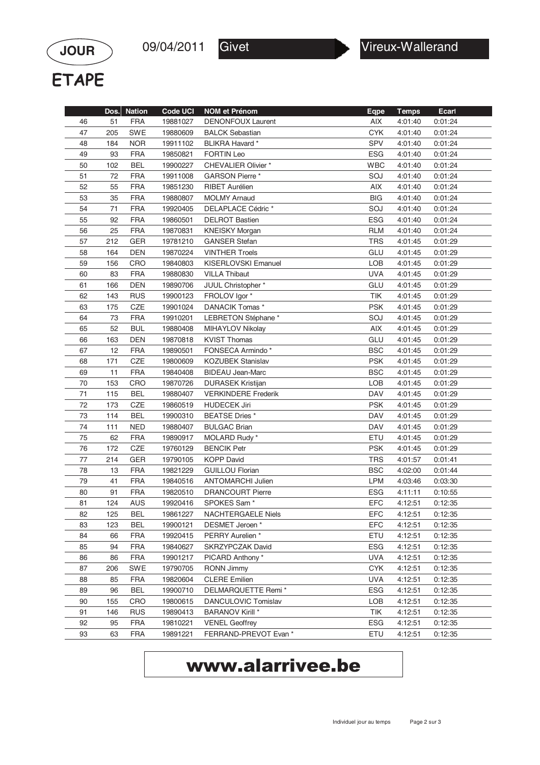

**ETAPE** 

**JOUR**

|    | Dos. | <b>Nation</b> | <b>Code UCI</b> | <b>NOM et Prénom</b>       | Eqpe       | <b>Temps</b> | Ecarl   |
|----|------|---------------|-----------------|----------------------------|------------|--------------|---------|
| 46 | 51   | <b>FRA</b>    | 19881027        | <b>DENONFOUX Laurent</b>   | <b>AIX</b> | 4:01:40      | 0:01:24 |
| 47 | 205  | SWE           | 19880609        | <b>BALCK Sebastian</b>     | <b>CYK</b> | 4:01:40      | 0:01:24 |
| 48 | 184  | <b>NOR</b>    | 19911102        | BLIKRA Havard *            | SPV        | 4:01:40      | 0:01:24 |
| 49 | 93   | <b>FRA</b>    | 19850821        | <b>FORTIN Leo</b>          | <b>ESG</b> | 4:01:40      | 0:01:24 |
| 50 | 102  | <b>BEL</b>    | 19900227        | <b>CHEVALIER Olivier *</b> | <b>WBC</b> | 4:01:40      | 0:01:24 |
| 51 | 72   | <b>FRA</b>    | 19911008        | GARSON Pierre*             | SOJ        | 4:01:40      | 0:01:24 |
| 52 | 55   | <b>FRA</b>    | 19851230        | <b>RIBET Aurélien</b>      | <b>AIX</b> | 4:01:40      | 0:01:24 |
| 53 | 35   | <b>FRA</b>    | 19880807        | <b>MOLMY Arnaud</b>        | <b>BIG</b> | 4:01:40      | 0:01:24 |
| 54 | 71   | <b>FRA</b>    | 19920405        | DELAPLACE Cédric*          | SOJ        | 4:01:40      | 0:01:24 |
| 55 | 92   | <b>FRA</b>    | 19860501        | <b>DELROT Bastien</b>      | <b>ESG</b> | 4:01:40      | 0:01:24 |
| 56 | 25   | <b>FRA</b>    | 19870831        | <b>KNEISKY Morgan</b>      | <b>RLM</b> | 4:01:40      | 0:01:24 |
| 57 | 212  | GER           | 19781210        | <b>GANSER Stefan</b>       | <b>TRS</b> | 4:01:45      | 0:01:29 |
| 58 | 164  | <b>DEN</b>    | 19870224        | <b>VINTHER Troels</b>      | GLU        | 4:01:45      | 0:01:29 |
| 59 | 156  | <b>CRO</b>    | 19840803        | KISERLOVSKI Emanuel        | LOB        | 4:01:45      | 0:01:29 |
| 60 | 83   | <b>FRA</b>    | 19880830        | <b>VILLA Thibaut</b>       | <b>UVA</b> | 4:01:45      | 0:01:29 |
| 61 | 166  | <b>DEN</b>    | 19890706        | JUUL Christopher *         | GLU        | 4:01:45      | 0:01:29 |
| 62 | 143  | <b>RUS</b>    | 19900123        | FROLOV Igor *              | TIK        | 4:01:45      | 0:01:29 |
| 63 | 175  | CZE           | 19901024        | DANACIK Tomas *            | <b>PSK</b> | 4:01:45      | 0:01:29 |
| 64 | 73   | <b>FRA</b>    | 19910201        | LEBRETON Stéphane*         | SOJ        | 4:01:45      | 0:01:29 |
| 65 | 52   | <b>BUL</b>    | 19880408        | MIHAYLOV Nikolay           | <b>AIX</b> | 4:01:45      | 0:01:29 |
| 66 | 163  | <b>DEN</b>    | 19870818        | <b>KVIST Thomas</b>        | GLU        | 4:01:45      | 0:01:29 |
| 67 | 12   | <b>FRA</b>    | 19890501        | FONSECA Armindo*           | <b>BSC</b> | 4:01:45      | 0:01:29 |
| 68 | 171  | CZE           | 19800609        | <b>KOZUBEK Stanislav</b>   | <b>PSK</b> | 4:01:45      | 0:01:29 |
| 69 | 11   | <b>FRA</b>    | 19840408        | <b>BIDEAU Jean-Marc</b>    | <b>BSC</b> | 4:01:45      | 0:01:29 |
| 70 | 153  | <b>CRO</b>    | 19870726        | <b>DURASEK Kristijan</b>   | LOB        | 4:01:45      | 0:01:29 |
| 71 | 115  | BEL           | 19880407        | <b>VERKINDERE Frederik</b> | <b>DAV</b> | 4:01:45      | 0:01:29 |
| 72 | 173  | CZE           | 19860519        | <b>HUDECEK Jiri</b>        | <b>PSK</b> | 4:01:45      | 0:01:29 |
| 73 | 114  | <b>BEL</b>    | 19900310        | BEATSE Dries *             | <b>DAV</b> | 4:01:45      | 0:01:29 |
| 74 | 111  | <b>NED</b>    | 19880407        | <b>BULGAC Brian</b>        | <b>DAV</b> | 4:01:45      | 0:01:29 |
| 75 | 62   | <b>FRA</b>    | 19890917        | MOLARD Rudy *              | ETU        | 4:01:45      | 0:01:29 |
| 76 | 172  | CZE           | 19760129        | <b>BENCIK Petr</b>         | <b>PSK</b> | 4:01:45      | 0:01:29 |
| 77 | 214  | GER           | 19790105        | <b>KOPP David</b>          | <b>TRS</b> | 4:01:57      | 0:01:41 |
| 78 | 13   | <b>FRA</b>    | 19821229        | <b>GUILLOU Florian</b>     | <b>BSC</b> | 4:02:00      | 0:01:44 |
| 79 | 41   | <b>FRA</b>    | 19840516        | <b>ANTOMARCHI Julien</b>   | <b>LPM</b> | 4:03:46      | 0:03:30 |
| 80 | 91   | <b>FRA</b>    | 19820510        | <b>DRANCOURT Pierre</b>    | <b>ESG</b> | 4:11:11      | 0:10:55 |
| 81 | 124  | AUS           | 19920416        | SPOKES Sam <sup>*</sup>    | <b>EFC</b> | 4:12:51      | 0:12:35 |
| 82 | 125  | BEL           | 19861227        | NACHTERGAELE Niels         | EFC        | 4:12:51      | 0:12:35 |
| 83 | 123  | BEL           | 19900121        | DESMET Jeroen*             | <b>EFC</b> | 4:12:51      | 0:12:35 |
| 84 | 66   | <b>FRA</b>    | 19920415        | PERRY Aurelien *           | ETU        | 4:12:51      | 0:12:35 |
| 85 | 94   | <b>FRA</b>    | 19840627        | <b>SKRZYPCZAK David</b>    | <b>ESG</b> | 4:12:51      | 0:12:35 |
| 86 | 86   | <b>FRA</b>    | 19901217        | PICARD Anthony *           | <b>UVA</b> | 4:12:51      | 0:12:35 |
| 87 | 206  | SWE           | 19790705        | RONN Jimmy                 | <b>CYK</b> | 4:12:51      | 0:12:35 |
| 88 | 85   | <b>FRA</b>    | 19820604        | <b>CLERE Emilien</b>       | <b>UVA</b> | 4:12:51      | 0:12:35 |
| 89 | 96   | BEL           | 19900710        | DELMARQUETTE Remi *        | <b>ESG</b> | 4:12:51      | 0:12:35 |
| 90 | 155  | CRO           | 19800615        | DANCULOVIC Tomislav        | LOB        | 4:12:51      | 0:12:35 |
| 91 | 146  | <b>RUS</b>    | 19890413        | <b>BARANOV Kirill *</b>    | <b>TIK</b> | 4:12:51      | 0:12:35 |
| 92 | 95   | <b>FRA</b>    | 19810221        | <b>VENEL Geoffrey</b>      | <b>ESG</b> | 4:12:51      | 0:12:35 |
| 93 | 63   | <b>FRA</b>    | 19891221        | FERRAND-PREVOT Evan *      | ETU        | 4:12:51      | 0:12:35 |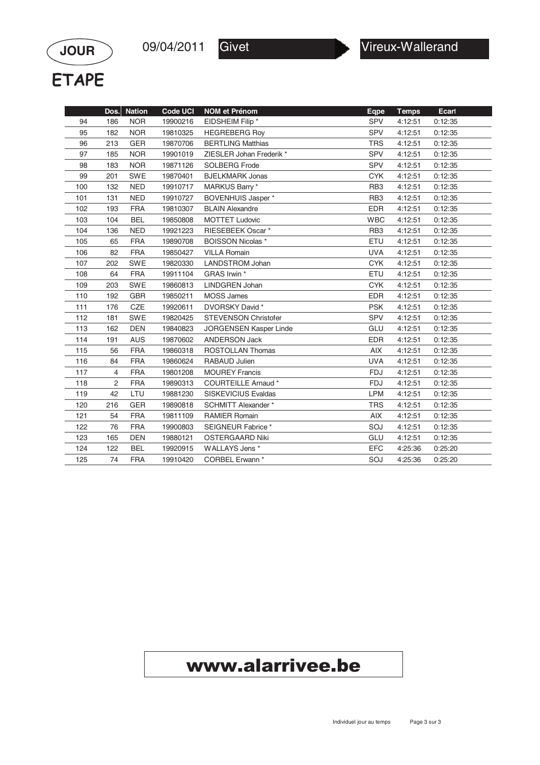

**ETAPE** 

**JOUR**

|     | Dos.           | <b>Nation</b> | <b>Code UCI</b> | <b>NOM et Prénom</b>          | Eqpe            | <b>Temps</b> | Ecart   |
|-----|----------------|---------------|-----------------|-------------------------------|-----------------|--------------|---------|
| 94  | 186            | <b>NOR</b>    | 19900216        | EIDSHEIM Filip *              | <b>SPV</b>      | 4:12:51      | 0:12:35 |
| 95  | 182            | <b>NOR</b>    | 19810325        | <b>HEGREBERG Roy</b>          | <b>SPV</b>      | 4:12:51      | 0:12:35 |
| 96  | 213            | <b>GER</b>    | 19870706        | <b>BERTLING Matthias</b>      | <b>TRS</b>      | 4:12:51      | 0:12:35 |
| 97  | 185            | <b>NOR</b>    | 19901019        | ZIESLER Johan Frederik *      | <b>SPV</b>      | 4:12:51      | 0:12:35 |
| 98  | 183            | <b>NOR</b>    | 19871126        | <b>SOLBERG Frode</b>          | SPV             | 4:12:51      | 0:12:35 |
| 99  | 201            | <b>SWE</b>    | 19870401        | <b>BJELKMARK Jonas</b>        | <b>CYK</b>      | 4:12:51      | 0:12:35 |
| 100 | 132            | <b>NED</b>    | 19910717        | MARKUS Barry *                | RB <sub>3</sub> | 4:12:51      | 0:12:35 |
| 101 | 131            | <b>NED</b>    | 19910727        | BOVENHUIS Jasper *            | RB <sub>3</sub> | 4:12:51      | 0:12:35 |
| 102 | 193            | <b>FRA</b>    | 19810307        | <b>BLAIN Alexandre</b>        | <b>EDR</b>      | 4:12:51      | 0:12:35 |
| 103 | 104            | <b>BEL</b>    | 19850808        | <b>MOTTET Ludovic</b>         | <b>WBC</b>      | 4:12:51      | 0:12:35 |
| 104 | 136            | <b>NED</b>    | 19921223        | <b>RIESEBEEK Oscar*</b>       | RB <sub>3</sub> | 4:12:51      | 0:12:35 |
| 105 | 65             | <b>FRA</b>    | 19890708        | <b>BOISSON Nicolas *</b>      | ETU             | 4:12:51      | 0:12:35 |
| 106 | 82             | <b>FRA</b>    | 19850427        | <b>VILLA Romain</b>           | <b>UVA</b>      | 4:12:51      | 0:12:35 |
| 107 | 202            | <b>SWE</b>    | 19820330        | <b>LANDSTROM Johan</b>        | <b>CYK</b>      | 4:12:51      | 0:12:35 |
| 108 | 64             | <b>FRA</b>    | 19911104        | GRAS Irwin *                  | ETU             | 4:12:51      | 0:12:35 |
| 109 | 203            | <b>SWE</b>    | 19860813        | <b>LINDGREN Johan</b>         | <b>CYK</b>      | 4:12:51      | 0:12:35 |
| 110 | 192            | <b>GBR</b>    | 19850211        | <b>MOSS James</b>             | <b>EDR</b>      | 4:12:51      | 0:12:35 |
| 111 | 176            | CZE           | 19920611        | DVORSKY David *               | <b>PSK</b>      | 4:12:51      | 0:12:35 |
| 112 | 181            | <b>SWE</b>    | 19820425        | <b>STEVENSON Christofer</b>   | <b>SPV</b>      | 4:12:51      | 0:12:35 |
| 113 | 162            | <b>DEN</b>    | 19840823        | <b>JORGENSEN Kasper Linde</b> | GLU             | 4:12:51      | 0:12:35 |
| 114 | 191            | <b>AUS</b>    | 19870602        | <b>ANDERSON Jack</b>          | <b>EDR</b>      | 4:12:51      | 0:12:35 |
| 115 | 56             | <b>FRA</b>    | 19860318        | <b>ROSTOLLAN Thomas</b>       | AIX             | 4:12:51      | 0:12:35 |
| 116 | 84             | <b>FRA</b>    | 19860624        | RABAUD Julien                 | <b>UVA</b>      | 4:12:51      | 0:12:35 |
| 117 | 4              | <b>FRA</b>    | 19801208        | <b>MOUREY Francis</b>         | <b>FDJ</b>      | 4:12:51      | 0:12:35 |
| 118 | $\overline{c}$ | <b>FRA</b>    | 19890313        | <b>COURTEILLE Arnaud*</b>     | <b>FDJ</b>      | 4:12:51      | 0:12:35 |
| 119 | 42             | LTU           | 19881230        | <b>SISKEVICIUS Evaldas</b>    | <b>LPM</b>      | 4:12:51      | 0:12:35 |
| 120 | 216            | <b>GER</b>    | 19890818        | <b>SCHMITT Alexander *</b>    | <b>TRS</b>      | 4:12:51      | 0:12:35 |
| 121 | 54             | <b>FRA</b>    | 19811109        | <b>RAMIER Romain</b>          | <b>AIX</b>      | 4:12:51      | 0:12:35 |
| 122 | 76             | <b>FRA</b>    | 19900803        | SEIGNEUR Fabrice *            | SOJ             | 4:12:51      | 0:12:35 |
| 123 | 165            | <b>DEN</b>    | 19880121        | <b>OSTERGAARD Niki</b>        | GLU             | 4:12:51      | 0:12:35 |
| 124 | 122            | <b>BEL</b>    | 19920915        | WALLAYS Jens *                | <b>EFC</b>      | 4:25:36      | 0:25:20 |
| 125 | 74             | <b>FRA</b>    | 19910420        | CORBEL Erwann *               | SOJ             | 4:25:36      | 0:25:20 |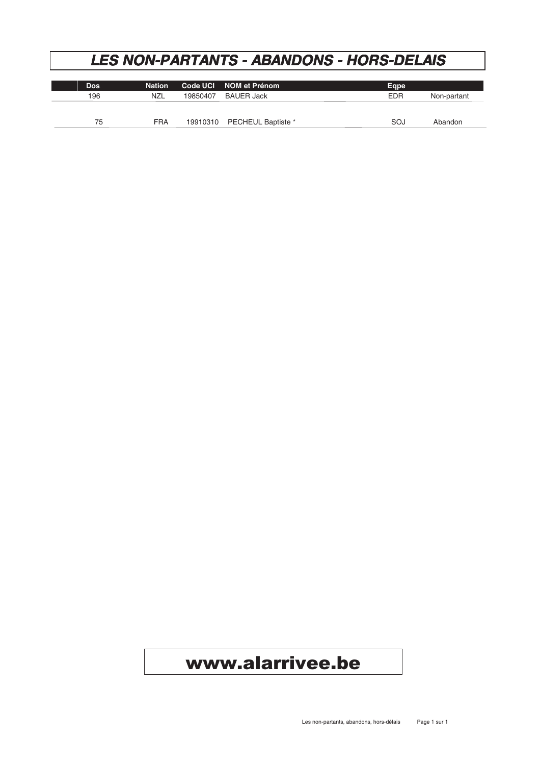#### **LES NON-PARTANTS - ABANDONS - HORS-DELAIS**

| Dos. | <b>Nation</b> |          | Code UCI NOM et Prénom | Eqpe       |             |
|------|---------------|----------|------------------------|------------|-------------|
| 196  | <b>NZL</b>    | 19850407 | BAUER Jack             | <b>EDR</b> | Non-partant |
|      |               |          |                        |            |             |
|      |               |          |                        |            |             |
| 75   | <b>FRA</b>    | 19910310 | PECHEUL Baptiste *     | SOJ        | Abandon     |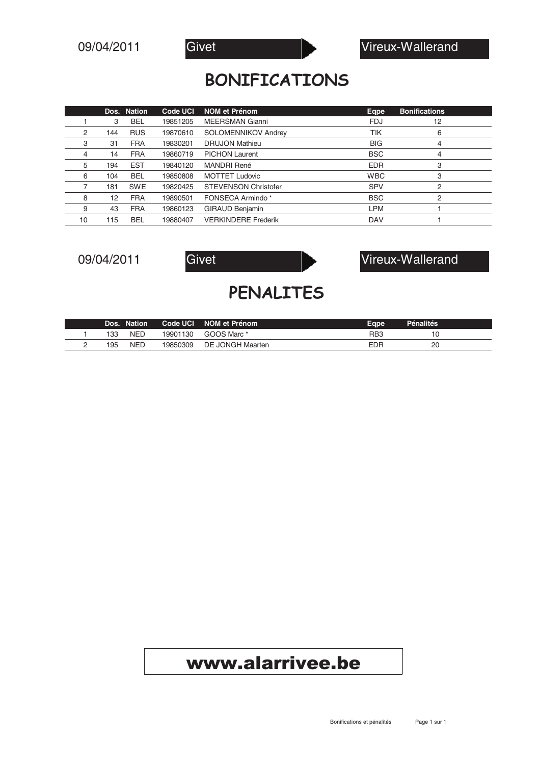

#### **BONIFICATIONS**

|    |     | Dos. Nation | Code UCI | <b>NOM et Prénom</b>        | Eqpe       | <b>Bonifications</b> |
|----|-----|-------------|----------|-----------------------------|------------|----------------------|
|    | 3   | <b>BEL</b>  | 19851205 | <b>MEERSMAN Gianni</b>      | <b>FDJ</b> | 12                   |
| 2  | 144 | <b>RUS</b>  | 19870610 | <b>SOLOMENNIKOV Andrey</b>  | <b>TIK</b> | 6                    |
| 3  | 31  | <b>FRA</b>  | 19830201 | <b>DRUJON Mathieu</b>       | <b>BIG</b> | 4                    |
| 4  | 14  | <b>FRA</b>  | 19860719 | <b>PICHON Laurent</b>       | <b>BSC</b> | 4                    |
| 5  | 194 | <b>EST</b>  | 19840120 | <b>MANDRI René</b>          | <b>EDR</b> | 3                    |
| 6  | 104 | <b>BEL</b>  | 19850808 | <b>MOTTET Ludovic</b>       | <b>WBC</b> | 3                    |
|    | 181 | <b>SWE</b>  | 19820425 | <b>STEVENSON Christofer</b> | <b>SPV</b> | $\overline{2}$       |
| 8  | 12  | <b>FRA</b>  | 19890501 | FONSECA Armindo*            | <b>BSC</b> | $\overline{2}$       |
| 9  | 43  | <b>FRA</b>  | 19860123 | <b>GIRAUD Benjamin</b>      | <b>LPM</b> |                      |
| 10 | 115 | <b>BEL</b>  | 19880407 | <b>VERKINDERE Frederik</b>  | <b>DAV</b> |                      |



#### PENALITES

|     | Dos. Nation | Code UCI | NOM et Prénom    | Eape             | <b>Pénalités</b> |  |
|-----|-------------|----------|------------------|------------------|------------------|--|
| 133 | <b>NED</b>  | 19901130 | GOOS Marc *      | R <sub>B</sub> 3 |                  |  |
| 195 | <b>NED</b>  | 9850309  | DE JONGH Maarten | EDR              | 20               |  |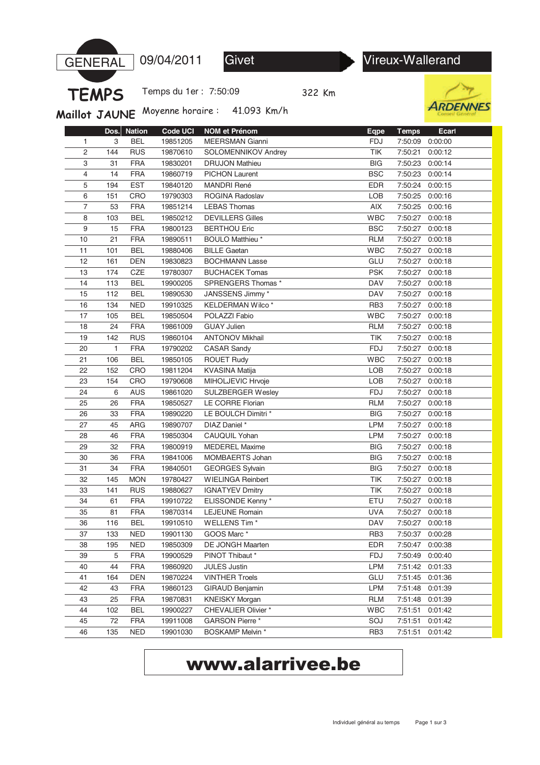

109/04/2011 Givet Vireux-Wallerand

Temps du 1er : 7:50:09

322 Km



Maillot JAUNE Moyenne horaire: 41.093 Km/h

|    | Dos. | <b>Nation</b> | <b>Code UCI</b> | <b>NOM et Prénom</b>       | <b>Eqpe</b>     | <b>Temps</b> | Ecarl   |
|----|------|---------------|-----------------|----------------------------|-----------------|--------------|---------|
| 1  | 3    | <b>BEL</b>    | 19851205        | <b>MEERSMAN Gianni</b>     | <b>FDJ</b>      | 7:50:09      | 0:00:00 |
| 2  | 144  | <b>RUS</b>    | 19870610        | SOLOMENNIKOV Andrey        | TIK             | 7:50:21      | 0:00:12 |
| 3  | 31   | <b>FRA</b>    | 19830201        | <b>DRUJON Mathieu</b>      | <b>BIG</b>      | 7:50:23      | 0:00:14 |
| 4  | 14   | <b>FRA</b>    | 19860719        | <b>PICHON Laurent</b>      | <b>BSC</b>      | 7:50:23      | 0:00:14 |
| 5  | 194  | <b>EST</b>    | 19840120        | <b>MANDRI René</b>         | <b>EDR</b>      | 7:50:24      | 0:00:15 |
| 6  | 151  | CRO           | 19790303        | ROGINA Radoslav            | LOB             | 7:50:25      | 0:00:16 |
| 7  | 53   | <b>FRA</b>    | 19851214        | <b>LEBAS Thomas</b>        | AIX             | 7:50:25      | 0:00:16 |
| 8  | 103  | <b>BEL</b>    | 19850212        | <b>DEVILLERS Gilles</b>    | <b>WBC</b>      | 7:50:27      | 0:00:18 |
| 9  | 15   | <b>FRA</b>    | 19800123        | <b>BERTHOU Eric</b>        | <b>BSC</b>      | 7:50:27      | 0:00:18 |
| 10 | 21   | <b>FRA</b>    | 19890511        | BOULO Matthieu *           | <b>RLM</b>      | 7:50:27      | 0:00:18 |
| 11 | 101  | <b>BEL</b>    | 19880406        | <b>BILLE Gaetan</b>        | <b>WBC</b>      | 7:50:27      | 0:00:18 |
| 12 | 161  | <b>DEN</b>    | 19830823        | <b>BOCHMANN Lasse</b>      | GLU             | 7:50:27      | 0:00:18 |
| 13 | 174  | CZE           | 19780307        | <b>BUCHACEK Tomas</b>      | <b>PSK</b>      | 7:50:27      | 0:00:18 |
| 14 | 113  | <b>BEL</b>    | 19900205        | SPRENGERS Thomas *         | DAV             | 7:50:27      | 0:00:18 |
| 15 | 112  | <b>BEL</b>    | 19890530        | JANSSENS Jimmy *           | DAV             | 7:50:27      | 0:00:18 |
| 16 | 134  | <b>NED</b>    | 19910325        | KELDERMAN Wilco*           | RB <sub>3</sub> | 7:50:27      | 0:00:18 |
| 17 | 105  | <b>BEL</b>    | 19850504        | POLAZZI Fabio              | <b>WBC</b>      | 7:50:27      | 0:00:18 |
| 18 | 24   | <b>FRA</b>    | 19861009        | <b>GUAY Julien</b>         | <b>RLM</b>      | 7:50:27      | 0:00:18 |
| 19 | 142  | <b>RUS</b>    | 19860104        | <b>ANTONOV Mikhail</b>     | TIK             | 7:50:27      | 0:00:18 |
| 20 | 1    | <b>FRA</b>    | 19790202        | <b>CASAR Sandy</b>         | <b>FDJ</b>      | 7:50:27      | 0:00:18 |
| 21 | 106  | <b>BEL</b>    | 19850105        | <b>ROUET Rudy</b>          | <b>WBC</b>      | 7:50:27      | 0:00:18 |
| 22 | 152  | CRO           | 19811204        | <b>KVASINA Matija</b>      | LOB             | 7:50:27      | 0:00:18 |
| 23 | 154  | CRO           | 19790608        | MIHOLJEVIC Hrvoje          | LOB             | 7:50:27      | 0:00:18 |
| 24 | 6    | AUS           | 19861020        | SULZBERGER Wesley          | <b>FDJ</b>      | 7:50:27      | 0:00:18 |
| 25 | 26   | <b>FRA</b>    | 19850527        | LE CORRE Florian           | <b>RLM</b>      | 7:50:27      | 0:00:18 |
| 26 | 33   | <b>FRA</b>    | 19890220        | LE BOULCH Dimitri *        | <b>BIG</b>      | 7:50:27      | 0:00:18 |
| 27 | 45   | <b>ARG</b>    | 19890707        | DIAZ Daniel *              | <b>LPM</b>      | 7:50:27      | 0:00:18 |
| 28 | 46   | <b>FRA</b>    | 19850304        | CAUQUIL Yohan              | <b>LPM</b>      | 7:50:27      | 0:00:18 |
| 29 | 32   | <b>FRA</b>    | 19800919        | <b>MEDEREL Maxime</b>      | <b>BIG</b>      | 7:50:27      | 0:00:18 |
| 30 | 36   | <b>FRA</b>    | 19841006        | MOMBAERTS Johan            | <b>BIG</b>      | 7:50:27      | 0:00:18 |
| 31 | 34   | <b>FRA</b>    | 19840501        | <b>GEORGES Sylvain</b>     | <b>BIG</b>      | 7:50:27      | 0:00:18 |
| 32 | 145  | <b>MON</b>    | 19780427        | <b>WIELINGA Reinbert</b>   | TIK             | 7:50:27      | 0:00:18 |
| 33 | 141  | <b>RUS</b>    | 19880627        | <b>IGNATYEV Dmitry</b>     | TIK             | 7:50:27      | 0:00:18 |
| 34 | 61   | <b>FRA</b>    | 19910722        | ELISSONDE Kenny*           | ETU             | 7:50:27      | 0:00:18 |
| 35 | 81   | <b>FRA</b>    | 19870314        | <b>LEJEUNE Romain</b>      | <b>UVA</b>      | 7:50:27      | 0:00:18 |
| 36 | 116  | <b>BEL</b>    | 19910510        | WELLENS Tim*               | DAV             | 7:50:27      | 0:00:18 |
| 37 | 133  | <b>NED</b>    | 19901130        | GOOS Marc*                 | RB3             | 7:50:37      | 0:00:28 |
| 38 | 195  | <b>NED</b>    | 19850309        | DE JONGH Maarten           | <b>EDR</b>      | 7:50:47      | 0:00:38 |
| 39 | 5    | <b>FRA</b>    | 19900529        | PINOT Thibaut *            | <b>FDJ</b>      | 7:50:49      | 0:00:40 |
| 40 | 44   | <b>FRA</b>    | 19860920        | <b>JULES Justin</b>        | <b>LPM</b>      | 7:51:42      | 0:01:33 |
| 41 | 164  | <b>DEN</b>    | 19870224        | <b>VINTHER Troels</b>      | GLU             | 7:51:45      | 0:01:36 |
| 42 | 43   | <b>FRA</b>    | 19860123        | GIRAUD Benjamin            | <b>LPM</b>      | 7:51:48      | 0:01:39 |
| 43 | 25   | <b>FRA</b>    | 19870831        | <b>KNEISKY Morgan</b>      | <b>RLM</b>      | 7:51:48      | 0:01:39 |
| 44 | 102  | <b>BEL</b>    | 19900227        | <b>CHEVALIER Olivier *</b> | <b>WBC</b>      | 7:51:51      | 0:01:42 |
| 45 | 72   | <b>FRA</b>    | 19911008        | <b>GARSON Pierre*</b>      | SOJ             | 7:51:51      | 0:01:42 |
| 46 | 135  | <b>NED</b>    | 19901030        | <b>BOSKAMP Melvin *</b>    | RB <sub>3</sub> | 7:51:51      | 0:01:42 |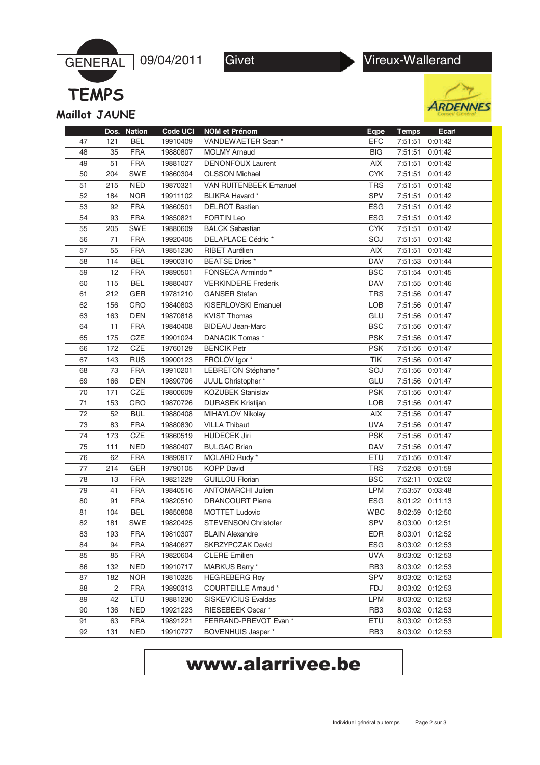

**TEMPS** Maillot JAUNE





|    | Dos. | <b>Nation</b> | <b>Code UCI</b> | <b>NOM et Prénom</b>          | <b>Eqpe</b>     | <b>Temps</b> | Ecarl   |
|----|------|---------------|-----------------|-------------------------------|-----------------|--------------|---------|
| 47 | 121  | BEL           | 19910409        | VANDEWAETER Sean *            | <b>EFC</b>      | 7:51:51      | 0:01:42 |
| 48 | 35   | <b>FRA</b>    | 19880807        | <b>MOLMY Arnaud</b>           | <b>BIG</b>      | 7:51:51      | 0:01:42 |
| 49 | 51   | <b>FRA</b>    | 19881027        | <b>DENONFOUX Laurent</b>      | <b>AIX</b>      | 7:51:51      | 0:01:42 |
| 50 | 204  | SWE           | 19860304        | <b>OLSSON Michael</b>         | <b>CYK</b>      | 7:51:51      | 0:01:42 |
| 51 | 215  | <b>NED</b>    | 19870321        | <b>VAN RUITENBEEK Emanuel</b> | <b>TRS</b>      | 7:51:51      | 0:01:42 |
| 52 | 184  | <b>NOR</b>    | 19911102        | BLIKRA Havard*                | SPV             | 7:51:51      | 0:01:42 |
| 53 | 92   | <b>FRA</b>    | 19860501        | <b>DELROT Bastien</b>         | <b>ESG</b>      | 7:51:51      | 0:01:42 |
| 54 | 93   | <b>FRA</b>    | 19850821        | <b>FORTIN Leo</b>             | <b>ESG</b>      | 7:51:51      | 0:01:42 |
| 55 | 205  | SWE           | 19880609        | <b>BALCK Sebastian</b>        | <b>CYK</b>      | 7:51:51      | 0:01:42 |
| 56 | 71   | <b>FRA</b>    | 19920405        | DELAPLACE Cédric*             | SOJ             | 7:51:51      | 0:01:42 |
| 57 | 55   | <b>FRA</b>    | 19851230        | <b>RIBET Aurélien</b>         | AIX             | 7:51:51      | 0:01:42 |
| 58 | 114  | <b>BEL</b>    | 19900310        | <b>BEATSE Dries</b> *         | <b>DAV</b>      | 7:51:53      | 0:01:44 |
| 59 | 12   | <b>FRA</b>    | 19890501        | FONSECA Armindo*              | <b>BSC</b>      | 7:51:54      | 0:01:45 |
| 60 | 115  | <b>BEL</b>    | 19880407        | <b>VERKINDERE Frederik</b>    | <b>DAV</b>      | 7:51:55      | 0:01:46 |
| 61 | 212  | GER           | 19781210        | <b>GANSER Stefan</b>          | <b>TRS</b>      | 7:51:56      | 0:01:47 |
| 62 | 156  | CRO           | 19840803        | KISERLOVSKI Emanuel           | <b>LOB</b>      | 7:51:56      | 0:01:47 |
| 63 | 163  | <b>DEN</b>    | 19870818        | <b>KVIST Thomas</b>           | GLU             | 7:51:56      | 0:01:47 |
| 64 | 11   | <b>FRA</b>    | 19840408        | <b>BIDEAU Jean-Marc</b>       | <b>BSC</b>      | 7:51:56      | 0:01:47 |
| 65 | 175  | CZE           | 19901024        | DANACIK Tomas *               | <b>PSK</b>      | 7:51:56      | 0:01:47 |
| 66 | 172  | CZE           | 19760129        | <b>BENCIK Petr</b>            | <b>PSK</b>      | 7:51:56      | 0:01:47 |
| 67 | 143  | <b>RUS</b>    | 19900123        | FROLOV Igor *                 | <b>TIK</b>      | 7:51:56      | 0:01:47 |
| 68 | 73   | <b>FRA</b>    | 19910201        | LEBRETON Stéphane*            | SOJ             | 7:51:56      | 0:01:47 |
| 69 | 166  | <b>DEN</b>    | 19890706        | JUUL Christopher *            | GLU             | 7:51:56      | 0:01:47 |
| 70 | 171  | CZE           | 19800609        | <b>KOZUBEK Stanislav</b>      | <b>PSK</b>      | 7:51:56      | 0:01:47 |
| 71 | 153  | CRO           | 19870726        | <b>DURASEK Kristijan</b>      | LOB             | 7:51:56      | 0:01:47 |
| 72 | 52   | <b>BUL</b>    | 19880408        | MIHAYLOV Nikolay              | <b>AIX</b>      | 7:51:56      | 0:01:47 |
| 73 | 83   | <b>FRA</b>    | 19880830        | <b>VILLA Thibaut</b>          | <b>UVA</b>      | 7:51:56      | 0:01:47 |
| 74 | 173  | CZE           | 19860519        | <b>HUDECEK Jiri</b>           | <b>PSK</b>      | 7:51:56      | 0:01:47 |
| 75 | 111  | <b>NED</b>    | 19880407        | <b>BULGAC Brian</b>           | <b>DAV</b>      | 7:51:56      | 0:01:47 |
| 76 | 62   | <b>FRA</b>    | 19890917        | MOLARD Rudy *                 | <b>ETU</b>      | 7:51:56      | 0:01:47 |
| 77 | 214  | GER           | 19790105        | <b>KOPP David</b>             | <b>TRS</b>      | 7:52:08      | 0:01:59 |
| 78 | 13   | <b>FRA</b>    | 19821229        | <b>GUILLOU Florian</b>        | <b>BSC</b>      | 7:52:11      | 0:02:02 |
| 79 | 41   | <b>FRA</b>    | 19840516        | <b>ANTOMARCHI Julien</b>      | <b>LPM</b>      | 7:53:57      | 0:03:48 |
| 80 | 91   | <b>FRA</b>    | 19820510        | <b>DRANCOURT Pierre</b>       | <b>ESG</b>      | 8:01:22      | 0:11:13 |
| 81 | 104  | <b>BEL</b>    | 19850808        | <b>MOTTET Ludovic</b>         | <b>WBC</b>      | 8:02:59      | 0:12:50 |
| 82 | 181  | SWE           | 19820425        | <b>STEVENSON Christofer</b>   | <b>SPV</b>      | 8:03:00      | 0:12:51 |
| 83 | 193  | <b>FRA</b>    | 19810307        | <b>BLAIN Alexandre</b>        | <b>EDR</b>      | 8:03:01      | 0:12:52 |
| 84 | 94   | <b>FRA</b>    | 19840627        | SKRZYPCZAK David              | <b>ESG</b>      | 8:03:02      | 0:12:53 |
| 85 | 85   | <b>FRA</b>    | 19820604        | <b>CLERE Emilien</b>          | <b>UVA</b>      | 8:03:02      | 0:12:53 |
| 86 | 132  | <b>NED</b>    | 19910717        | MARKUS Barry*                 | RB <sub>3</sub> | 8:03:02      | 0:12:53 |
| 87 | 182  | <b>NOR</b>    | 19810325        | <b>HEGREBERG Roy</b>          | <b>SPV</b>      | 8:03:02      | 0:12:53 |
| 88 | 2    | <b>FRA</b>    | 19890313        | <b>COURTEILLE Arnaud*</b>     | <b>FDJ</b>      | 8:03:02      | 0:12:53 |
| 89 | 42   | LTU           | 19881230        | <b>SISKEVICIUS Evaldas</b>    | <b>LPM</b>      | 8:03:02      | 0:12:53 |
| 90 | 136  | <b>NED</b>    | 19921223        | RIESEBEEK Oscar*              | RB <sub>3</sub> | 8:03:02      | 0:12:53 |
| 91 | 63   | <b>FRA</b>    | 19891221        | FERRAND-PREVOT Evan *         | ETU             | 8:03:02      | 0:12:53 |
| 92 | 131  | <b>NED</b>    | 19910727        | <b>BOVENHUIS Jasper *</b>     | RB <sub>3</sub> | 8:03:02      | 0:12:53 |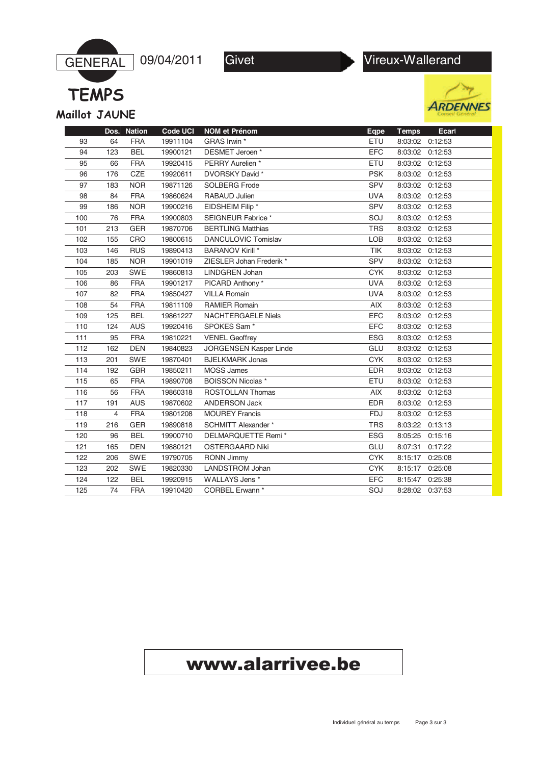



**TEMPS** Maillot JAUNE





|     | Dos. | <b>Nation</b> | <b>Code UCI</b> | <b>NOM et Prénom</b>          | Eqpe       | <b>Temps</b>    | Ecarl   |
|-----|------|---------------|-----------------|-------------------------------|------------|-----------------|---------|
| 93  | 64   | <b>FRA</b>    | 19911104        | GRAS Irwin *                  | ETU        | 8:03:02 0:12:53 |         |
| 94  | 123  | <b>BEL</b>    | 19900121        | DESMET Jeroen*                | <b>EFC</b> | 8:03:02         | 0:12:53 |
| 95  | 66   | <b>FRA</b>    | 19920415        | PERRY Aurelien *              | ETU        | 8:03:02         | 0:12:53 |
| 96  | 176  | <b>CZE</b>    | 19920611        | DVORSKY David *               | <b>PSK</b> | 8:03:02         | 0:12:53 |
| 97  | 183  | <b>NOR</b>    | 19871126        | <b>SOLBERG Frode</b>          | <b>SPV</b> | 8:03:02         | 0:12:53 |
| 98  | 84   | <b>FRA</b>    | 19860624        | RABAUD Julien                 | <b>UVA</b> | 8:03:02         | 0:12:53 |
| 99  | 186  | <b>NOR</b>    | 19900216        | EIDSHEIM Filip *              | <b>SPV</b> | 8:03:02         | 0:12:53 |
| 100 | 76   | <b>FRA</b>    | 19900803        | SEIGNEUR Fabrice *            | SOJ        | 8:03:02         | 0:12:53 |
| 101 | 213  | <b>GER</b>    | 19870706        | <b>BERTLING Matthias</b>      | <b>TRS</b> | 8:03:02         | 0:12:53 |
| 102 | 155  | CRO           | 19800615        | DANCULOVIC Tomislav           | LOB        | 8:03:02         | 0:12:53 |
| 103 | 146  | <b>RUS</b>    | 19890413        | <b>BARANOV Kirill *</b>       | <b>TIK</b> | 8:03:02         | 0:12:53 |
| 104 | 185  | <b>NOR</b>    | 19901019        | ZIESLER Johan Frederik *      | SPV        | 8:03:02 0:12:53 |         |
| 105 | 203  | <b>SWE</b>    | 19860813        | LINDGREN Johan                | <b>CYK</b> | 8:03:02         | 0:12:53 |
| 106 | 86   | <b>FRA</b>    | 19901217        | PICARD Anthony*               | <b>UVA</b> | 8:03:02         | 0:12:53 |
| 107 | 82   | <b>FRA</b>    | 19850427        | <b>VILLA Romain</b>           | <b>UVA</b> | 8:03:02         | 0:12:53 |
| 108 | 54   | <b>FRA</b>    | 19811109        | <b>RAMIER Romain</b>          | AIX        | 8:03:02         | 0:12:53 |
| 109 | 125  | <b>BEL</b>    | 19861227        | <b>NACHTERGAELE Niels</b>     | <b>EFC</b> | 8:03:02         | 0:12:53 |
| 110 | 124  | <b>AUS</b>    | 19920416        | SPOKES Sam <sup>*</sup>       | <b>EFC</b> | 8:03:02         | 0:12:53 |
| 111 | 95   | <b>FRA</b>    | 19810221        | <b>VENEL Geoffrey</b>         | <b>ESG</b> | 8:03:02         | 0:12:53 |
| 112 | 162  | <b>DEN</b>    | 19840823        | <b>JORGENSEN Kasper Linde</b> | GLU        | 8:03:02         | 0:12:53 |
| 113 | 201  | <b>SWE</b>    | 19870401        | <b>BJELKMARK Jonas</b>        | <b>CYK</b> | 8:03:02         | 0:12:53 |
| 114 | 192  | <b>GBR</b>    | 19850211        | <b>MOSS James</b>             | <b>EDR</b> | 8:03:02         | 0:12:53 |
| 115 | 65   | <b>FRA</b>    | 19890708        | <b>BOISSON Nicolas *</b>      | ETU        | 8:03:02         | 0:12:53 |
| 116 | 56   | <b>FRA</b>    | 19860318        | <b>ROSTOLLAN Thomas</b>       | AIX        | 8:03:02         | 0:12:53 |
| 117 | 191  | <b>AUS</b>    | 19870602        | <b>ANDERSON Jack</b>          | <b>EDR</b> | 8:03:02         | 0:12:53 |
| 118 | 4    | <b>FRA</b>    | 19801208        | <b>MOUREY Francis</b>         | <b>FDJ</b> | 8:03:02         | 0:12:53 |
| 119 | 216  | GER           | 19890818        | <b>SCHMITT Alexander *</b>    | <b>TRS</b> | 8:03:22         | 0:13:13 |
| 120 | 96   | <b>BEL</b>    | 19900710        | DELMARQUETTE Remi *           | <b>ESG</b> | 8:05:25         | 0:15:16 |
| 121 | 165  | <b>DEN</b>    | 19880121        | <b>OSTERGAARD Niki</b>        | GLU        | 8:07:31         | 0:17:22 |
| 122 | 206  | <b>SWE</b>    | 19790705        | <b>RONN Jimmy</b>             | <b>CYK</b> | 8:15:17         | 0:25:08 |
| 123 | 202  | <b>SWE</b>    | 19820330        | <b>LANDSTROM Johan</b>        | <b>CYK</b> | 8:15:17         | 0:25:08 |
| 124 | 122  | <b>BEL</b>    | 19920915        | WALLAYS Jens *                | <b>EFC</b> | 8:15:47         | 0:25:38 |
| 125 | 74   | <b>FRA</b>    | 19910420        | CORBEL Erwann *               | SOJ        | 8:28:02 0:37:53 |         |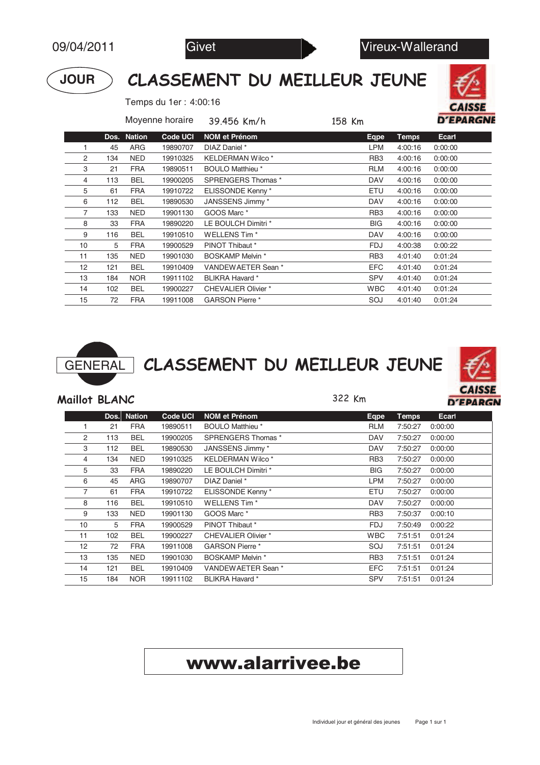

#### CLASSEMENT DU MEILLEUR JEUNE

Temps du 1er : 4:00:16



|    |      |               | Moyenne horaire | 39.456 Km/h                | 158 Km          |              | <b>D'EPARGNI</b> |
|----|------|---------------|-----------------|----------------------------|-----------------|--------------|------------------|
|    | Dos. | <b>Nation</b> | <b>Code UCI</b> | <b>NOM et Prénom</b>       | Eqpe            | <b>Temps</b> | Ecarl            |
|    | 45   | ARG           | 19890707        | DIAZ Daniel *              | <b>LPM</b>      | 4:00:16      | 0:00:00          |
| 2  | 134  | <b>NED</b>    | 19910325        | KELDERMAN Wilco*           | RB <sub>3</sub> | 4:00:16      | 0:00:00          |
| 3  | 21   | <b>FRA</b>    | 19890511        | <b>BOULO Matthieu</b> *    | <b>RLM</b>      | 4:00:16      | 0:00:00          |
| 4  | 113  | <b>BEL</b>    | 19900205        | SPRENGERS Thomas *         | <b>DAV</b>      | 4:00:16      | 0:00:00          |
| 5  | 61   | <b>FRA</b>    | 19910722        | ELISSONDE Kenny*           | ETU             | 4:00:16      | 0:00:00          |
| 6  | 112  | <b>BEL</b>    | 19890530        | JANSSENS Jimmy *           | <b>DAV</b>      | 4:00:16      | 0:00:00          |
| 7  | 133  | <b>NED</b>    | 19901130        | GOOS Marc *                | RB <sub>3</sub> | 4:00:16      | 0:00:00          |
| 8  | 33   | <b>FRA</b>    | 19890220        | LE BOULCH Dimitri *        | <b>BIG</b>      | 4:00:16      | 0:00:00          |
| 9  | 116  | <b>BEL</b>    | 19910510        | WELLENS Tim *              | <b>DAV</b>      | 4:00:16      | 0:00:00          |
| 10 | 5    | <b>FRA</b>    | 19900529        | PINOT Thibaut *            | FDJ             | 4:00:38      | 0:00:22          |
| 11 | 135  | <b>NED</b>    | 19901030        | <b>BOSKAMP Melvin *</b>    | RB <sub>3</sub> | 4:01:40      | 0:01:24          |
| 12 | 121  | <b>BEL</b>    | 19910409        | VANDEWAETER Sean *         | EFC             | 4:01:40      | 0:01:24          |
| 13 | 184  | <b>NOR</b>    | 19911102        | BLIKRA Havard *            | <b>SPV</b>      | 4:01:40      | 0:01:24          |
| 14 | 102  | <b>BEL</b>    | 19900227        | <b>CHEVALIER Olivier *</b> | <b>WBC</b>      | 4:01:40      | 0:01:24          |
| 15 | 72   | <b>FRA</b>    | 19911008        | <b>GARSON Pierre</b> *     | SOJ             | 4:01:40      | 0:01:24          |



GENERAL CLASSEMENT DU MEILLEUR JEUNE



#### Maillot BLANC

322 Km

|    | Dos. | <b>Nation</b> | <b>Code UCI</b> | <b>NOM et Prénom</b>       |                 | <b>Temps</b> | Ecarl   |
|----|------|---------------|-----------------|----------------------------|-----------------|--------------|---------|
|    |      |               |                 |                            | Eqpe            |              |         |
|    | 21   | <b>FRA</b>    | 19890511        | <b>BOULO Matthieu</b> *    | <b>RLM</b>      | 7:50:27      | 0:00:00 |
| 2  | 113  | BEL           | 19900205        | SPRENGERS Thomas *         | <b>DAV</b>      | 7:50:27      | 0:00:00 |
| 3  | 112  | BEL           | 19890530        | JANSSENS Jimmy *           | <b>DAV</b>      | 7:50:27      | 0:00:00 |
| 4  | 134  | <b>NED</b>    | 19910325        | <b>KELDERMAN Wilco*</b>    | RB <sub>3</sub> | 7:50:27      | 0:00:00 |
| 5  | 33   | <b>FRA</b>    | 19890220        | LE BOULCH Dimitri *        | <b>BIG</b>      | 7:50:27      | 0:00:00 |
| 6  | 45   | ARG           | 19890707        | DIAZ Daniel *              | <b>LPM</b>      | 7:50:27      | 0:00:00 |
| 7  | 61   | <b>FRA</b>    | 19910722        | ELISSONDE Kenny*           | ETU             | 7:50:27      | 0:00:00 |
| 8  | 116  | <b>BEL</b>    | 19910510        | <b>WELLENS Tim*</b>        | <b>DAV</b>      | 7:50:27      | 0:00:00 |
| 9  | 133  | <b>NED</b>    | 19901130        | GOOS Marc *                | RB <sub>3</sub> | 7:50:37      | 0:00:10 |
| 10 | 5    | <b>FRA</b>    | 19900529        | PINOT Thibaut *            | FDJ             | 7:50:49      | 0:00:22 |
| 11 | 102  | <b>BEL</b>    | 19900227        | <b>CHEVALIER Olivier *</b> | <b>WBC</b>      | 7:51:51      | 0:01:24 |
| 12 | 72   | <b>FRA</b>    | 19911008        | <b>GARSON Pierre *</b>     | SOJ             | 7:51:51      | 0:01:24 |
| 13 | 135  | <b>NED</b>    | 19901030        | <b>BOSKAMP Melvin *</b>    | RB <sub>3</sub> | 7:51:51      | 0:01:24 |
| 14 | 121  | <b>BEL</b>    | 19910409        | VANDEWAETER Sean *         | EFC             | 7:51:51      | 0:01:24 |
| 15 | 184  | <b>NOR</b>    | 19911102        | BLIKRA Havard *            | <b>SPV</b>      | 7:51:51      | 0:01:24 |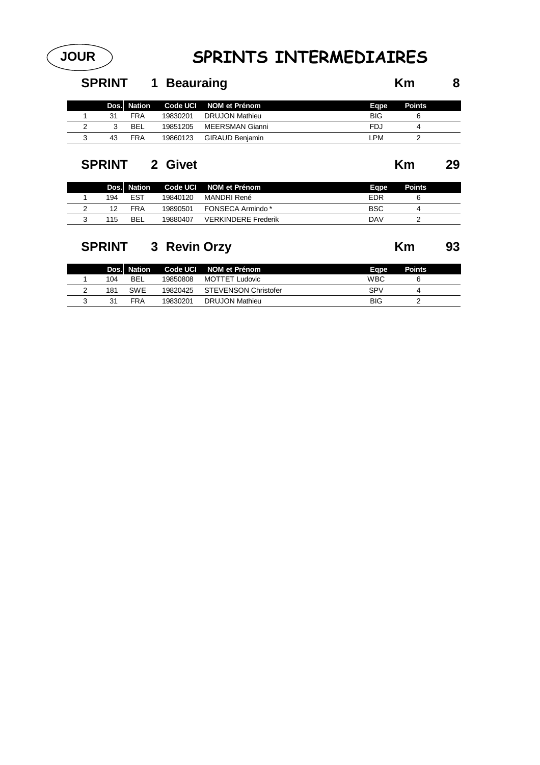#### **JOUR SPRINTS INTERMEDIAIRES**

#### **SPRINT 1 Beauraing Km 8**

|    | Dos. Nation |          | Code UCI NOM et Prénom | Eape       | <b>Points</b> |
|----|-------------|----------|------------------------|------------|---------------|
| 31 | <b>FRA</b>  | 19830201 | DRUJON Mathieu         | <b>BIG</b> |               |
|    | BEL         | 19851205 | MEERSMAN Gianni        | FDJ        |               |
| 43 | FRA         | 19860123 | GIRAUD Beniamin        | .PM        |               |

#### **SPRINT 2 Givet Km 29**

|     | Dos. Nation |          | Code UCI NOM et Prénom     | Eape | <b>Points</b> |
|-----|-------------|----------|----------------------------|------|---------------|
| 194 | <b>EST</b>  | 19840120 | MANDRI René                | FDR  |               |
|     | FRA         | 19890501 | FONSECA Armindo *          | BSC  |               |
| 115 | BEL         | 19880407 | <b>VERKINDERE Frederik</b> | DAV  |               |

#### **SPRINT 3 Revin Orzy Km 93**

|     | Dos. Nation |          | Code UCI NOM et Prénom | Eape       | <b>Points</b> |
|-----|-------------|----------|------------------------|------------|---------------|
| 104 | <b>BEL</b>  | 19850808 | MOTTET Ludovic         | WBC        |               |
| 181 | <b>SWE</b>  | 19820425 | STEVENSON Christofer   | <b>SPV</b> |               |
| 31  | <b>FRA</b>  | 19830201 | DRUJON Mathieu         | <b>BIG</b> |               |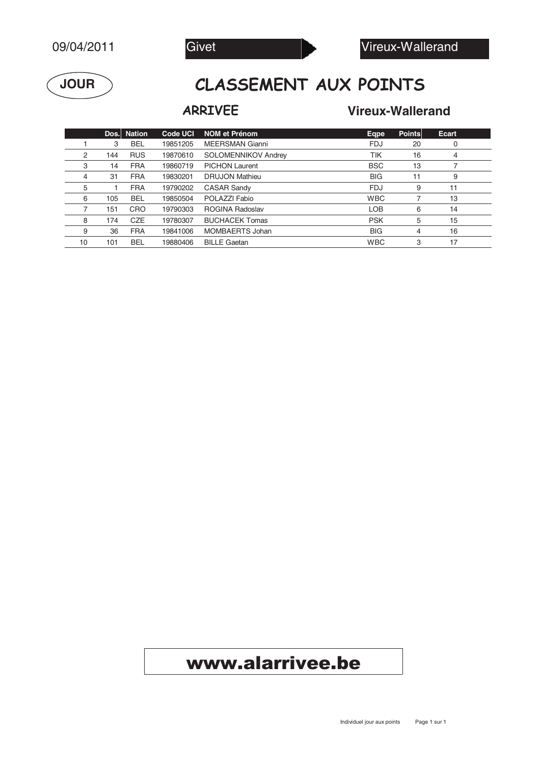



#### **ASSEMENT AUX POINTS**

#### **Vireux-Wallerand**

|    |     | Dos. Nation | <b>Code UCI</b> | <b>NOM et Prénom</b>       | Eqpe       | <b>Points</b> | Ecart |  |
|----|-----|-------------|-----------------|----------------------------|------------|---------------|-------|--|
|    | 3   | <b>BEL</b>  | 19851205        | <b>MEERSMAN Gianni</b>     | <b>FDJ</b> | 20            | 0     |  |
| 2  | 144 | <b>RUS</b>  | 19870610        | <b>SOLOMENNIKOV Andrey</b> | TIK        | 16            | 4     |  |
| 3  | 14  | <b>FRA</b>  | 19860719        | <b>PICHON Laurent</b>      | <b>BSC</b> | 13            |       |  |
| 4  | 31  | <b>FRA</b>  | 19830201        | <b>DRUJON Mathieu</b>      | <b>BIG</b> | 11            | 9     |  |
| 5  |     | <b>FRA</b>  | 19790202        | <b>CASAR Sandy</b>         | <b>FDJ</b> | 9             | 11    |  |
| 6  | 105 | <b>BEL</b>  | 19850504        | POLAZZI Fabio              | <b>WBC</b> |               | 13    |  |
|    | 151 | CRO         | 19790303        | <b>ROGINA Radoslav</b>     | <b>LOB</b> | 6             | 14    |  |
| 8  | 174 | <b>CZE</b>  | 19780307        | <b>BUCHACEK Tomas</b>      | <b>PSK</b> | 5             | 15    |  |
| 9  | 36  | <b>FRA</b>  | 19841006        | MOMBAERTS Johan            | <b>BIG</b> | 4             | 16    |  |
| 10 | 101 | <b>BEL</b>  | 19880406        | <b>BILLE Gaetan</b>        | <b>WBC</b> | 3             | 17    |  |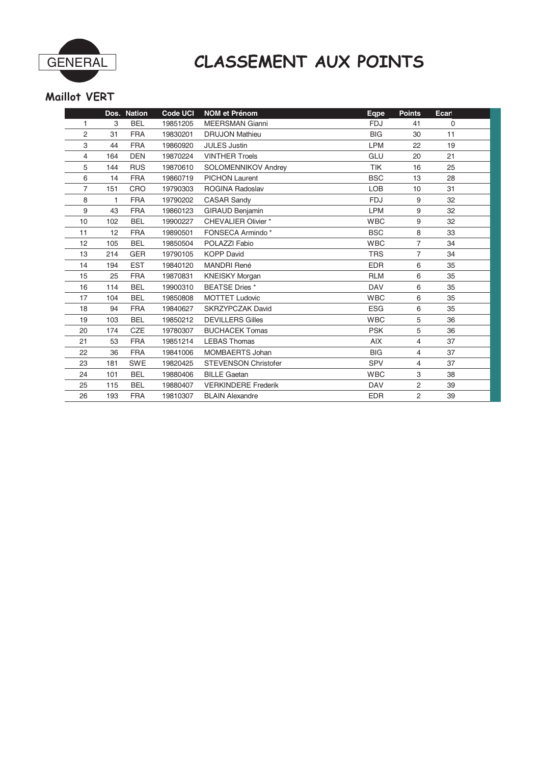

#### **ASSEMENT AUX POINTS**

#### Maillot VERT

|    |     | Dos. Nation | <b>Code UCI</b> | <b>NOM et Prénom</b>        | Eqpe       | <b>Points</b>  | Ecarl |
|----|-----|-------------|-----------------|-----------------------------|------------|----------------|-------|
| 1  | 3   | <b>BEL</b>  | 19851205        | <b>MEERSMAN Gianni</b>      | <b>FDJ</b> | 41             | 0     |
| 2  | 31  | <b>FRA</b>  | 19830201        | <b>DRUJON Mathieu</b>       | <b>BIG</b> | 30             | 11    |
| 3  | 44  | <b>FRA</b>  | 19860920        | <b>JULES Justin</b>         | <b>LPM</b> | 22             | 19    |
| 4  | 164 | <b>DEN</b>  | 19870224        | <b>VINTHER Troels</b>       | GLU        | 20             | 21    |
| 5  | 144 | <b>RUS</b>  | 19870610        | <b>SOLOMENNIKOV Andrey</b>  | <b>TIK</b> | 16             | 25    |
| 6  | 14  | <b>FRA</b>  | 19860719        | <b>PICHON Laurent</b>       | <b>BSC</b> | 13             | 28    |
| 7  | 151 | CRO         | 19790303        | <b>ROGINA Radoslav</b>      | <b>LOB</b> | 10             | 31    |
| 8  | 1   | <b>FRA</b>  | 19790202        | <b>CASAR Sandy</b>          | <b>FDJ</b> | 9              | 32    |
| 9  | 43  | <b>FRA</b>  | 19860123        | <b>GIRAUD Benjamin</b>      | <b>LPM</b> | 9              | 32    |
| 10 | 102 | <b>BEL</b>  | 19900227        | <b>CHEVALIER Olivier *</b>  | <b>WBC</b> | 9              | 32    |
| 11 | 12  | <b>FRA</b>  | 19890501        | FONSECA Armindo*            | <b>BSC</b> | 8              | 33    |
| 12 | 105 | <b>BEL</b>  | 19850504        | POLAZZI Fabio               | <b>WBC</b> | $\overline{7}$ | 34    |
| 13 | 214 | <b>GER</b>  | 19790105        | <b>KOPP David</b>           | <b>TRS</b> | $\overline{7}$ | 34    |
| 14 | 194 | <b>EST</b>  | 19840120        | <b>MANDRI René</b>          | <b>EDR</b> | 6              | 35    |
| 15 | 25  | <b>FRA</b>  | 19870831        | <b>KNEISKY Morgan</b>       | <b>RLM</b> | 6              | 35    |
| 16 | 114 | <b>BEL</b>  | 19900310        | <b>BEATSE Dries</b> *       | <b>DAV</b> | 6              | 35    |
| 17 | 104 | <b>BEL</b>  | 19850808        | <b>MOTTET Ludovic</b>       | <b>WBC</b> | 6              | 35    |
| 18 | 94  | <b>FRA</b>  | 19840627        | <b>SKRZYPCZAK David</b>     | <b>ESG</b> | 6              | 35    |
| 19 | 103 | <b>BEL</b>  | 19850212        | <b>DEVILLERS Gilles</b>     | <b>WBC</b> | 5              | 36    |
| 20 | 174 | <b>CZE</b>  | 19780307        | <b>BUCHACEK Tomas</b>       | <b>PSK</b> | 5              | 36    |
| 21 | 53  | <b>FRA</b>  | 19851214        | <b>LEBAS Thomas</b>         | AIX        | 4              | 37    |
| 22 | 36  | <b>FRA</b>  | 19841006        | MOMBAERTS Johan             | <b>BIG</b> | 4              | 37    |
| 23 | 181 | <b>SWE</b>  | 19820425        | <b>STEVENSON Christofer</b> | <b>SPV</b> | 4              | 37    |
| 24 | 101 | <b>BEL</b>  | 19880406        | <b>BILLE Gaetan</b>         | <b>WBC</b> | 3              | 38    |
| 25 | 115 | <b>BEL</b>  | 19880407        | <b>VERKINDERE Frederik</b>  | <b>DAV</b> | 2              | 39    |
| 26 | 193 | <b>FRA</b>  | 19810307        | <b>BLAIN Alexandre</b>      | <b>EDR</b> | $\overline{2}$ | 39    |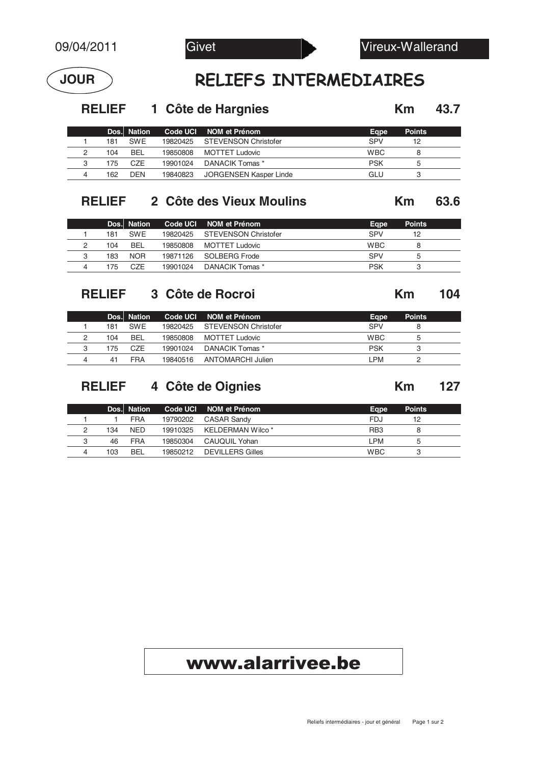

#### LIEFS INTERMEDIAIRES

**RELIEF 1** Côte de Hargnies **12.7 Km** 43.7

|   |     | Dos. Nation |          | Code UCI NOM et Prénom        | Eape       | <b>Points</b> |
|---|-----|-------------|----------|-------------------------------|------------|---------------|
|   | 181 | <b>SWF</b>  |          | 19820425 STEVENSON Christofer | SPV        | 12            |
|   | 104 | <b>BEL</b>  | 19850808 | MOTTET Ludovic                | <b>WBC</b> |               |
| 3 | 175 | CZE         | 19901024 | DANACIK Tomas *               | PSK        |               |
|   | 162 | <b>DFN</b>  | 19840823 | JORGENSEN Kasper Linde        | GLU        |               |

#### **RELIEF 2 Côte des Vieux Moulins 63.6 Km**

|     | Dos. Nation      |          | Code UCI NOM et Prénom        | Eape       | <b>Points</b> |
|-----|------------------|----------|-------------------------------|------------|---------------|
| 181 | <b>SWF</b>       |          | 19820425 STEVENSON Christofer | SPV        | 12            |
| 104 | <b>BEL</b>       | 19850808 | MOTTET Ludovic                | <b>WBC</b> |               |
| 183 | <b>NOR</b>       |          | 19871126 SOLBERG Frode        | SPV        |               |
| 175 | C <sub>7</sub> F | 19901024 | DANACIK Tomas *               | <b>PSK</b> |               |

#### **RELIEF 3 Côte de Rocroi 104 Km**

**Dos. Nation Code UCI NOM et Prénom**<br>
181 SWE 19820425 STEVENSON Christofer<br>
28 SPV 8 1 181 SWE 19820425 STEVENSON Christofer SPV SPV 8 2 104 BEL 19850808 MOTTET Ludovic WBC 5 3 175 CZE 19901024 DANACIK Tomas \* PSK 3 4 41 FRA 19840516 ANTOMARCHI Julien LPM 2

#### **RELIEF 4 Côte de Oignies 127 Km**

|   |     | Dos. Nation |          | Code UCI NOM et Prénom     | Eape            | <b>Points</b> |
|---|-----|-------------|----------|----------------------------|-----------------|---------------|
|   |     | <b>FRA</b>  | 19790202 | CASAR Sandv                | <b>FDJ</b>      | 12            |
| っ | 134 | <b>NED</b>  |          | 19910325 KELDERMAN Wilco * | RB <sub>3</sub> |               |
| 3 | 46  | <b>FRA</b>  | 19850304 | CAUQUIL Yohan              | PM              |               |
|   | 103 | <b>BFI</b>  | 19850212 | <b>DEVILLERS Gilles</b>    | <b>WBC</b>      |               |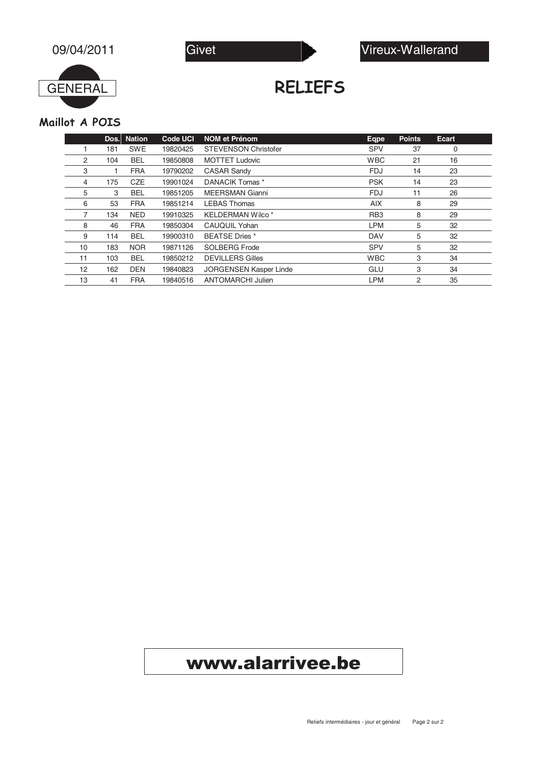



RELIEFS

#### Maillot A POIS

|    | Dos. | <b>Nation</b> | <b>Code UCI</b> | <b>NOM et Prénom</b>          | Eqpe            | <b>Points</b> | Ecart |  |
|----|------|---------------|-----------------|-------------------------------|-----------------|---------------|-------|--|
|    | 181  | <b>SWE</b>    | 19820425        | <b>STEVENSON Christofer</b>   | <b>SPV</b>      | 37            | 0     |  |
| 2  | 104  | <b>BEL</b>    | 19850808        | <b>MOTTET Ludovic</b>         | <b>WBC</b>      | 21            | 16    |  |
| 3  |      | <b>FRA</b>    | 19790202        | <b>CASAR Sandy</b>            | <b>FDJ</b>      | 14            | 23    |  |
| 4  | 175  | <b>CZE</b>    | 19901024        | DANACIK Tomas *               | <b>PSK</b>      | 14            | 23    |  |
| 5  | 3    | <b>BEL</b>    | 19851205        | <b>MEERSMAN Gianni</b>        | <b>FDJ</b>      | 11            | 26    |  |
| 6  | 53   | <b>FRA</b>    | 19851214        | <b>LEBAS Thomas</b>           | <b>AIX</b>      | 8             | 29    |  |
|    | 134  | <b>NED</b>    | 19910325        | <b>KELDERMAN Wilco*</b>       | RB <sub>3</sub> | 8             | 29    |  |
| 8  | 46   | <b>FRA</b>    | 19850304        | CAUQUIL Yohan                 | <b>LPM</b>      | 5             | 32    |  |
| 9  | 114  | <b>BEL</b>    | 19900310        | <b>BEATSE Dries</b> *         | <b>DAV</b>      | 5             | 32    |  |
| 10 | 183  | <b>NOR</b>    | 19871126        | <b>SOLBERG Frode</b>          | <b>SPV</b>      | 5             | 32    |  |
| 11 | 103  | <b>BEL</b>    | 19850212        | <b>DEVILLERS Gilles</b>       | <b>WBC</b>      | 3             | 34    |  |
| 12 | 162  | <b>DEN</b>    | 19840823        | <b>JORGENSEN Kasper Linde</b> | GLU             | 3             | 34    |  |
| 13 | 41   | <b>FRA</b>    | 19840516        | ANTOMARCHI Julien             | <b>LPM</b>      | 2             | 35    |  |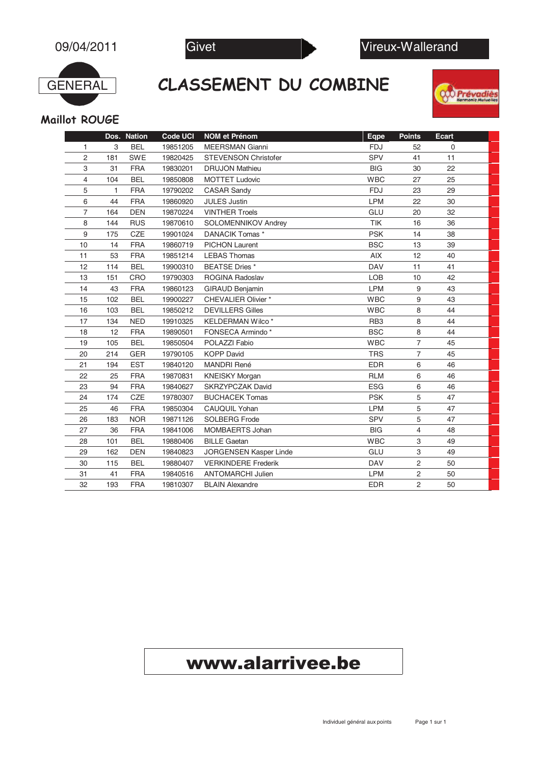

CLASSEMENT DU COMBINE





Maillot ROUGE

|    |     | Dos. Nation | <b>Code UCI</b> | <b>NOM</b> et Prénom        | Eqpe            | <b>Points</b>  | <b>Ecart</b> |
|----|-----|-------------|-----------------|-----------------------------|-----------------|----------------|--------------|
| 1  | 3   | <b>BEL</b>  | 19851205        | <b>MEERSMAN Gianni</b>      | <b>FDJ</b>      | 52             | $\mathbf 0$  |
| 2  | 181 | <b>SWE</b>  | 19820425        | <b>STEVENSON Christofer</b> | SPV             | 41             | 11           |
| 3  | 31  | <b>FRA</b>  | 19830201        | <b>DRUJON Mathieu</b>       | <b>BIG</b>      | 30             | 22           |
| 4  | 104 | <b>BEL</b>  | 19850808        | <b>MOTTET Ludovic</b>       | <b>WBC</b>      | 27             | 25           |
| 5  | 1   | <b>FRA</b>  | 19790202        | <b>CASAR Sandy</b>          | <b>FDJ</b>      | 23             | 29           |
| 6  | 44  | <b>FRA</b>  | 19860920        | <b>JULES Justin</b>         | LPM             | 22             | 30           |
| 7  | 164 | <b>DEN</b>  | 19870224        | <b>VINTHER Troels</b>       | GLU             | 20             | 32           |
| 8  | 144 | <b>RUS</b>  | 19870610        | SOLOMENNIKOV Andrey         | TIK             | 16             | 36           |
| 9  | 175 | CZE         | 19901024        | DANACIK Tomas *             | <b>PSK</b>      | 14             | 38           |
| 10 | 14  | <b>FRA</b>  | 19860719        | <b>PICHON Laurent</b>       | <b>BSC</b>      | 13             | 39           |
| 11 | 53  | <b>FRA</b>  | 19851214        | <b>LEBAS Thomas</b>         | AIX             | 12             | 40           |
| 12 | 114 | <b>BEL</b>  | 19900310        | <b>BEATSE Dries</b> *       | <b>DAV</b>      | 11             | 41           |
| 13 | 151 | CRO         | 19790303        | <b>ROGINA Radoslav</b>      | <b>LOB</b>      | 10             | 42           |
| 14 | 43  | <b>FRA</b>  | 19860123        | <b>GIRAUD Benjamin</b>      | LPM             | 9              | 43           |
| 15 | 102 | <b>BEL</b>  | 19900227        | <b>CHEVALIER Olivier *</b>  | <b>WBC</b>      | 9              | 43           |
| 16 | 103 | <b>BEL</b>  | 19850212        | <b>DEVILLERS Gilles</b>     | <b>WBC</b>      | 8              | 44           |
| 17 | 134 | <b>NED</b>  | 19910325        | KELDERMAN Wilco*            | RB <sub>3</sub> | 8              | 44           |
| 18 | 12  | <b>FRA</b>  | 19890501        | FONSECA Armindo*            | <b>BSC</b>      | 8              | 44           |
| 19 | 105 | <b>BEL</b>  | 19850504        | POLAZZI Fabio               | <b>WBC</b>      | $\overline{7}$ | 45           |
| 20 | 214 | <b>GER</b>  | 19790105        | <b>KOPP David</b>           | <b>TRS</b>      | $\overline{7}$ | 45           |
| 21 | 194 | <b>EST</b>  | 19840120        | MANDRI René                 | <b>EDR</b>      | 6              | 46           |
| 22 | 25  | <b>FRA</b>  | 19870831        | <b>KNEISKY Morgan</b>       | <b>RLM</b>      | 6              | 46           |
| 23 | 94  | <b>FRA</b>  | 19840627        | <b>SKRZYPCZAK David</b>     | <b>ESG</b>      | 6              | 46           |
| 24 | 174 | CZE         | 19780307        | <b>BUCHACEK Tomas</b>       | <b>PSK</b>      | 5              | 47           |
| 25 | 46  | <b>FRA</b>  | 19850304        | CAUQUIL Yohan               | LPM             | 5              | 47           |
| 26 | 183 | <b>NOR</b>  | 19871126        | <b>SOLBERG Frode</b>        | SPV             | 5              | 47           |
| 27 | 36  | <b>FRA</b>  | 19841006        | MOMBAERTS Johan             | <b>BIG</b>      | $\overline{4}$ | 48           |
| 28 | 101 | <b>BEL</b>  | 19880406        | <b>BILLE Gaetan</b>         | <b>WBC</b>      | 3              | 49           |
| 29 | 162 | <b>DEN</b>  | 19840823        | JORGENSEN Kasper Linde      | GLU             | 3              | 49           |
| 30 | 115 | <b>BEL</b>  | 19880407        | <b>VERKINDERE Frederik</b>  | <b>DAV</b>      | $\overline{c}$ | 50           |
| 31 | 41  | <b>FRA</b>  | 19840516        | <b>ANTOMARCHI Julien</b>    | <b>LPM</b>      | $\overline{c}$ | 50           |
| 32 | 193 | <b>FRA</b>  | 19810307        | <b>BLAIN Alexandre</b>      | <b>EDR</b>      | $\overline{2}$ | 50           |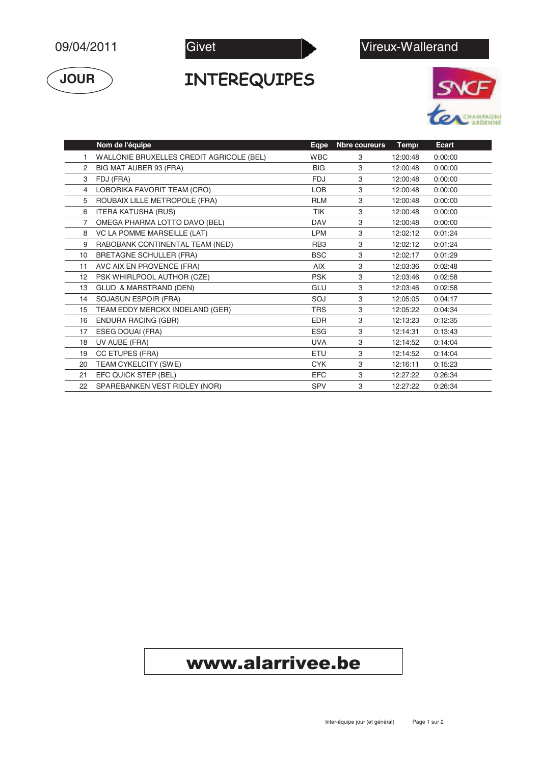$$
09/04/2011
$$





#### INTEREQUIPES





|                | Nom de l'équipe                          | Eqpe       | Nbre coureurs | Temp:    | <b>Ecart</b> |
|----------------|------------------------------------------|------------|---------------|----------|--------------|
|                | WALLONIE BRUXELLES CREDIT AGRICOLE (BEL) | <b>WBC</b> | 3             | 12:00:48 | 0:00:00      |
| 2              | BIG MAT AUBER 93 (FRA)                   | <b>BIG</b> | 3             | 12:00:48 | 0:00:00      |
| 3              | FDJ (FRA)                                | <b>FDJ</b> | 3             | 12:00:48 | 0:00:00      |
| 4              | LOBORIKA FAVORIT TEAM (CRO)              | LOB        | 3             | 12:00:48 | 0:00:00      |
| 5              | ROUBAIX LILLE METROPOLE (FRA)            | <b>RLM</b> | 3             | 12:00:48 | 0:00:00      |
| 6              | <b>ITERA KATUSHA (RUS)</b>               | <b>TIK</b> | 3             | 12:00:48 | 0:00:00      |
| $\overline{7}$ | OMEGA PHARMA LOTTO DAVO (BEL)            | <b>DAV</b> | 3             | 12:00:48 | 0:00:00      |
| 8              | <b>VC LA POMME MARSEILLE (LAT)</b>       | <b>LPM</b> | 3             | 12:02:12 | 0:01:24      |
| 9              | RABOBANK CONTINENTAL TEAM (NED)          | RB3        | 3             | 12:02:12 | 0:01:24      |
| 10             | BRETAGNE SCHULLER (FRA)                  | <b>BSC</b> | 3             | 12:02:17 | 0:01:29      |
| 11             | AVC AIX EN PROVENCE (FRA)                | <b>AIX</b> | 3             | 12:03:36 | 0:02:48      |
| 12             | PSK WHIRLPOOL AUTHOR (CZE)               | <b>PSK</b> | 3             | 12:03:46 | 0:02:58      |
| 13             | GLUD & MARSTRAND (DEN)                   | GLU        | 3             | 12:03:46 | 0:02:58      |
| 14             | SOJASUN ESPOIR (FRA)                     | SOJ        | 3             | 12:05:05 | 0:04:17      |
| 15             | TEAM EDDY MERCKX INDELAND (GER)          | <b>TRS</b> | 3             | 12:05:22 | 0:04:34      |
| 16             | <b>ENDURA RACING (GBR)</b>               | <b>EDR</b> | 3             | 12:13:23 | 0:12:35      |
| 17             | ESEG DOUAI (FRA)                         | <b>ESG</b> | 3             | 12:14:31 | 0:13:43      |
| 18             | UV AUBE (FRA)                            | <b>UVA</b> | 3             | 12:14:52 | 0:14:04      |
| 19             | CC ETUPES (FRA)                          | <b>ETU</b> | 3             | 12:14:52 | 0:14:04      |
| 20             | TEAM CYKELCITY (SWE)                     | <b>CYK</b> | 3             | 12:16:11 | 0:15:23      |
| 21             | EFC QUICK STEP (BEL)                     | <b>EFC</b> | 3             | 12:27:22 | 0:26:34      |
| 22             | SPAREBANKEN VEST RIDLEY (NOR)            | <b>SPV</b> | 3             | 12:27:22 | 0:26:34      |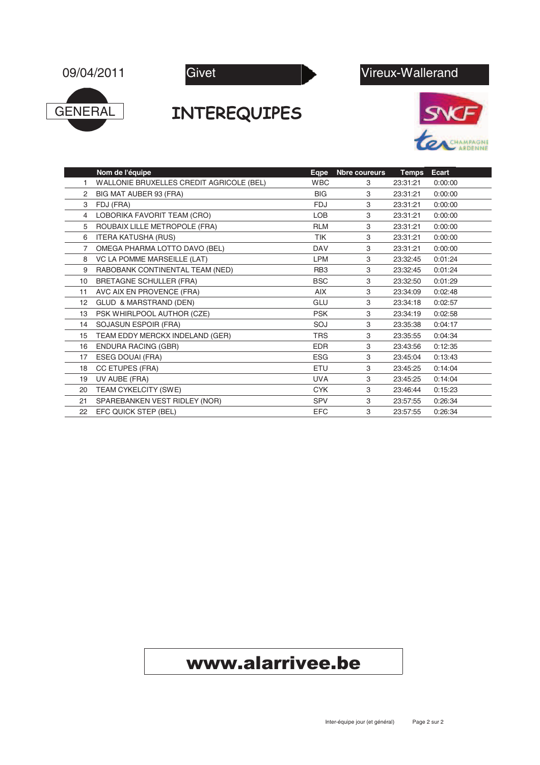





#### INTEREQUIPES





|                   | Nom de l'équipe                          | <b>Eqpe</b>     | Nbre coureurs | <b>Temps</b> | Ecart   |
|-------------------|------------------------------------------|-----------------|---------------|--------------|---------|
| 1                 | WALLONIE BRUXELLES CREDIT AGRICOLE (BEL) | <b>WBC</b>      | 3             | 23:31:21     | 0:00:00 |
| 2                 | BIG MAT AUBER 93 (FRA)                   | <b>BIG</b>      | 3             | 23:31:21     | 0:00:00 |
| 3                 | FDJ (FRA)                                | <b>FDJ</b>      | 3             | 23:31:21     | 0:00:00 |
| 4                 | LOBORIKA FAVORIT TEAM (CRO)              | LOB             | 3             | 23:31:21     | 0:00:00 |
| 5                 | ROUBAIX LILLE METROPOLE (FRA)            | <b>RLM</b>      | 3             | 23:31:21     | 0:00:00 |
| 6                 | <b>ITERA KATUSHA (RUS)</b>               | <b>TIK</b>      | 3             | 23:31:21     | 0:00:00 |
| 7                 | OMEGA PHARMA LOTTO DAVO (BEL)            | <b>DAV</b>      | 3             | 23:31:21     | 0:00:00 |
| 8                 | VC LA POMME MARSEILLE (LAT)              | <b>LPM</b>      | 3             | 23:32:45     | 0:01:24 |
| 9                 | RABOBANK CONTINENTAL TEAM (NED)          | RB <sub>3</sub> | 3             | 23:32:45     | 0:01:24 |
| 10                | <b>BRETAGNE SCHULLER (FRA)</b>           | <b>BSC</b>      | 3             | 23:32:50     | 0:01:29 |
| 11                | AVC AIX EN PROVENCE (FRA)                | <b>AIX</b>      | 3             | 23:34:09     | 0:02:48 |
| $12 \overline{ }$ | GLUD & MARSTRAND (DEN)                   | GLU             | 3             | 23:34:18     | 0:02:57 |
| 13                | PSK WHIRLPOOL AUTHOR (CZE)               | <b>PSK</b>      | 3             | 23:34:19     | 0:02:58 |
| 14                | SOJASUN ESPOIR (FRA)                     | SOJ             | 3             | 23:35:38     | 0:04:17 |
| 15                | TEAM EDDY MERCKX INDELAND (GER)          | <b>TRS</b>      | 3             | 23:35:55     | 0:04:34 |
| 16                | <b>ENDURA RACING (GBR)</b>               | <b>EDR</b>      | 3             | 23:43:56     | 0:12:35 |
| 17                | ESEG DOUAI (FRA)                         | <b>ESG</b>      | 3             | 23:45:04     | 0:13:43 |
| 18                | CC ETUPES (FRA)                          | <b>ETU</b>      | 3             | 23:45:25     | 0:14:04 |
| 19                | UV AUBE (FRA)                            | <b>UVA</b>      | 3             | 23:45:25     | 0:14:04 |
| 20                | TEAM CYKELCITY (SWE)                     | <b>CYK</b>      | 3             | 23:46:44     | 0:15:23 |
| 21                | SPAREBANKEN VEST RIDLEY (NOR)            | <b>SPV</b>      | 3             | 23:57:55     | 0:26:34 |
| 22                | EFC QUICK STEP (BEL)                     | <b>EFC</b>      | 3             | 23:57:55     | 0:26:34 |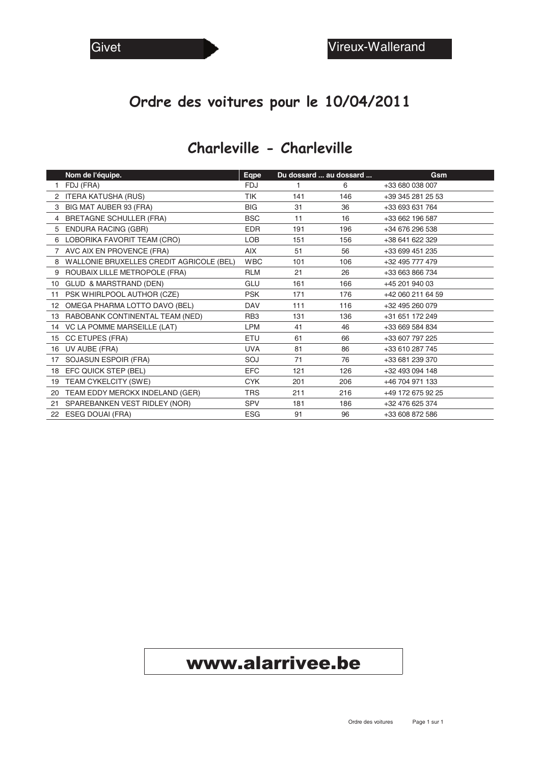#### Ordre des voitures pour le 10/04/2011

#### Charleville - Charleville

|                 | Nom de l'équipe.                         | <b>Eqpe</b>     | Du dossard  au dossard |     | Gsm               |
|-----------------|------------------------------------------|-----------------|------------------------|-----|-------------------|
|                 | FDJ (FRA)                                | <b>FDJ</b>      | 1.                     | 6   | +33 680 038 007   |
|                 | 2 ITERA KATUSHA (RUS)                    | <b>TIK</b>      | 141                    | 146 | +39 345 281 25 53 |
|                 | 3 BIG MAT AUBER 93 (FRA)                 | <b>BIG</b>      | 31                     | 36  | +33 693 631 764   |
| 4               | <b>BRETAGNE SCHULLER (FRA)</b>           | <b>BSC</b>      | 11                     | 16  | +33 662 196 587   |
|                 | 5 ENDURA RACING (GBR)                    | <b>EDR</b>      | 191                    | 196 | +34 676 296 538   |
|                 | 6 LOBORIKA FAVORIT TEAM (CRO)            | <b>LOB</b>      | 151                    | 156 | +38 641 622 329   |
|                 | 7 AVC AIX EN PROVENCE (FRA)              | <b>AIX</b>      | 51                     | 56  | +33 699 451 235   |
| 8               | WALLONIE BRUXELLES CREDIT AGRICOLE (BEL) | <b>WBC</b>      | 101                    | 106 | +32 495 777 479   |
| 9               | ROUBAIX LILLE METROPOLE (FRA)            | <b>RLM</b>      | 21                     | 26  | +33 663 866 734   |
| 10              | GLUD & MARSTRAND (DEN)                   | GLU             | 161                    | 166 | +45 201 940 03    |
| 11              | PSK WHIRLPOOL AUTHOR (CZE)               | <b>PSK</b>      | 171                    | 176 | +42 060 211 64 59 |
| 12 <sup>2</sup> | OMEGA PHARMA LOTTO DAVO (BEL)            | <b>DAV</b>      | 111                    | 116 | +32 495 260 079   |
| 13              | RABOBANK CONTINENTAL TEAM (NED)          | RB <sub>3</sub> | 131                    | 136 | +31 651 172 249   |
|                 | 14 VC LA POMME MARSEILLE (LAT)           | <b>LPM</b>      | 41                     | 46  | +33 669 584 834   |
| 15              | CC ETUPES (FRA)                          | <b>ETU</b>      | 61                     | 66  | +33 607 797 225   |
| 16              | UV AUBE (FRA)                            | <b>UVA</b>      | 81                     | 86  | +33 610 287 745   |
| 17              | SOJASUN ESPOIR (FRA)                     | SOJ             | 71                     | 76  | +33 681 239 370   |
| 18              | EFC QUICK STEP (BEL)                     | <b>EFC</b>      | 121                    | 126 | +32 493 094 148   |
| 19              | TEAM CYKELCITY (SWE)                     | <b>CYK</b>      | 201                    | 206 | +46 704 971 133   |
| 20              | TEAM EDDY MERCKX INDELAND (GER)          | <b>TRS</b>      | 211                    | 216 | +49 172 675 92 25 |
| 21              | SPAREBANKEN VEST RIDLEY (NOR)            | <b>SPV</b>      | 181                    | 186 | +32 476 625 374   |
|                 | 22 ESEG DOUAI (FRA)                      | <b>ESG</b>      | 91                     | 96  | +33 608 872 586   |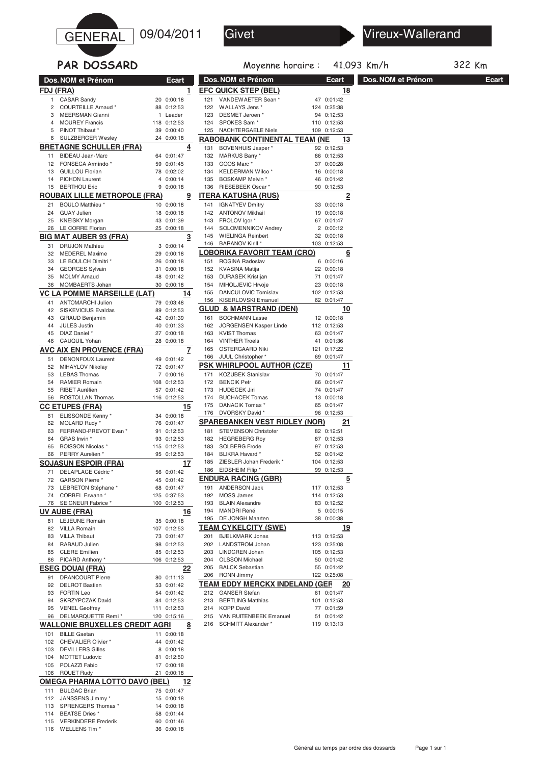



41.093 Km/h 322 Km

#### PAR DOSSARD **Dos. NOM et Prénom Ecart** Moyenne horai **Dos.NOM et Prénom Ecart Dos.NOM et Prénom Ecart FDJ (FRA)**<br>1 CASAR Sandy 20 0:00:18 1 CASAR Sandy 20 0:00:18<br>2 COURTEILLE Arnaud \* 88 0:12:53 2 COURTEILLE Arnaud \* 88 0:12:53<br>3 MEERSMAN Gianni \* 1 Leader MEERSMAN Gianni 1 Leader<br>118 0:12:53 118 118 1175 4 MOUREY Francis 5 PINOT Thibaut \* 39 0:00:40 6 SULZBERGER Wesley 24 0:00:18 **BRETAGNE SCHULLER (FRA) 4** 11 BIDEAU Jean-Marc 64 0:01:47<br>12 FONSECA Armindo \* 59 0:01:45 12 FONSECA Armindo<sup>\*</sup> 13 GUILLOU Florian 78 0:02:02<br>14 PICHON Laurent 4 0:00:14 14 PICHON Laurent 4 0:00:14<br>15 BERTHOU Eric 9 0:00:18 15 BERTHOU Eric **ROUBAIX LILLE METROPOLE (FRA) 9** 21 BOULO Matthieu \* 10 0:00:18<br>24 GUAY Julien 18 0:00:18 24 GUAY Julien 18 0:00:18<br>25 KNEISKY Morgan 18 0:01:39 25 KNEISKY Morgan 26 LE CORRE Florian 25 0:00:18 **BIG MAT AUBER 93 (FRA) 3**<br>31 DRUJON Mathieu **3** 0:00:14 31 DRUJON Mathieu 3 0:00:14<br>32 MEDEREI Maxime 39 0:00:18 32 MEDEREL Maxime 33 LE BOULCH Dimitri \* 26 0:00:18 34 GEORGES Sylvain 31 0:00:18 35 MOLMY Arnaud 48 0:01:42 36 MOMBAERTS Johan 30 0:00:18 **VC LA POMME MARSEILLE (LAT) 14** 41 ANTOMARCHI Julien 79 0:03:48 42 SISKEVICIUS Evaldas 89 0:12:53 43 GIRAUD Benjamin 42 0:01:39 44 JULES Justin 40 0:01:33 45 DIAZ Daniel \* 27 0:00:18<br>46 CAUQUIL Yohan 28 0:00:18 CAUQUIL Yohan **AVC AIX EN PROVENCE (FRA) 7** 51 DENONFOUX Laurent 49 0:01:42<br>52 MIHAYI OV Nikolay 72 0:01:47 MIHAYLOV Nikolay 72 0:01:47<br>LEBAS Thomas 7 0:00:16 53 LEBAS Thomas 7 0:00:16 RAMIER Romain 108 0:12:53<br>RIBET Aurélien 57 0:01:42 55 RIBET Aurélien 57 0:01:42<br>56 ROSTOLLAN Thomas 116 0:12:53 56 ROSTOLLAN Thomas **CC ETUPES (FRA)** 15<br>
61 ELISSONDE Kenny \* 34 0:00:18 61 ELISSONDE Kenny \* 34 0:00:18<br>62 MOLARD Rudy \* 76 0:01:47 62 MOLARD Rudy \* 76 0:01:47<br>63 FERRAND-PREVOT Evan \* 91 0:12:53 63 FERRAND-PREVOT Evan \* 91 0:12:53<br>64 GRAS Irwin \* 93 0:12:53 64 GRAS Irwin \* 65 BOISSON Nicolas \* 115 0:12:53 66 PERRY Aurelien \* 95 0:12:53 **SOJASUN ESPOIR (FRA) 17** 71 DELAPLACE Cédric \* 56 0:01:42 72 GARSON Pierre \* 45 0:01:42 73 LEBRETON Stéphane \* 68 0:01:47<br>74 CORBEL Erwann \* 125 0:37:53 74 CORBEL Erwann \* 76 SEIGNEUR Fabrice \* 100 0:12:53 **UV AUBE (FRA) 16** 81 LEJEUNE Romain 35 0:00:18 82 VILLA Romain 107 0:12:53<br>83 VILLA Thibaut 73 0:01:47 83 VILLA Thibaut 84 RABAUD Julien 98 0:12:53<br>85 CLERE Emilien 98 0:12:53 85 CLERE Emilien 85 0:12:53<br>86 PICARD Anthony \* 106 0:12:53 **EFC QUICK STEP (BEL)** 121 VANDEWAETER Sean \* 47 0:01:42 121 VANDEWAETER Sean \* 47 0:01:42<br>122 WALLAYS Jens \* 124 0:25:38 122 WALLAYS Jens \* 124 0:25:38<br>123 DESMET Jeroen \* 94 0:12:53 123 DESMET Jeroen\*

| 91  | <b>DRANCOURT Pierre</b>              | 80  | 0:11:13 |          |
|-----|--------------------------------------|-----|---------|----------|
| 92  | <b>DELROT Bastien</b>                | 53  | 0:01:42 |          |
| 93  | <b>FORTIN Leo</b>                    | 54  | 0:01:42 |          |
| 94  | <b>SKRZYPCZAK David</b>              | 84  | 0:12:53 |          |
| 95  | <b>VENEL Geoffrey</b>                | 111 | 0:12:53 |          |
| 96  | DELMARQUETTE Remi*                   | 120 | 0:15:16 |          |
|     | WALLONIE BRUXELLES CREDIT AGRI       |     |         | <u>8</u> |
| 101 | <b>BILLE Gaetan</b>                  | 11  | 0:00:18 |          |
| 102 | CHEVALIER Olivier *                  | 44  | 0:01:42 |          |
| 103 | <b>DEVILLERS Gilles</b>              | 8   | 0:00:18 |          |
| 104 | <b>MOTTET Ludovic</b>                | 81  | 0:12:50 |          |
| 105 | POLAZZI Fabio                        | 17  | 0:00:18 |          |
| 106 | <b>ROUET Rudy</b>                    | 21  | 0:00:18 |          |
|     | <b>OMEGA PHARMA LOTTO DAVO (BEL)</b> |     |         | 12       |
| 111 | <b>BULGAC Brian</b>                  | 75  | 0:01:47 |          |
| 112 | JANSSENS Jimmy *                     | 15  | 0:00:18 |          |
| 113 | SPRENGERS Thomas *                   | 14  | 0:00:18 |          |
| 114 | BEATSE Dries *                       | 58  | 0:01:44 |          |
| 115 | <b>VERKINDERE Frederik</b>           | 60  | 0:01:46 |          |
| 116 | WELLENS Tim <sup>*</sup>             | 36  | 0:00:18 |          |

**ESEG DOUAI (FRA) 22**

86 PICARD Anthony

| 124                                 | SPOKES Sam *                                           | 110                  | 0:12:53            |           |  |  |  |  |
|-------------------------------------|--------------------------------------------------------|----------------------|--------------------|-----------|--|--|--|--|
| 125                                 | <b>NACHTERGAELE Niels</b>                              |                      | 109 0:12:53        |           |  |  |  |  |
| RABOBANK CONTINENTAL TEAM (NE<br>13 |                                                        |                      |                    |           |  |  |  |  |
| 131                                 | <b>BOVENHUIS Jasper*</b>                               | 92                   | 0:12:53            |           |  |  |  |  |
| 132                                 | MARKUS Barry *                                         | 86                   | 0:12:53            |           |  |  |  |  |
| 133                                 | GOOS Marc *                                            | 37                   | 0:00:28            |           |  |  |  |  |
| 134                                 | KELDERMAN Wilco*                                       | 16                   | 0:00:18            |           |  |  |  |  |
| 135                                 | BOSKAMP Melvin *                                       | 46                   | 0:01:42            |           |  |  |  |  |
| 136                                 | RIESEBEEK Oscar*                                       | 90                   | 0:12:53            |           |  |  |  |  |
|                                     | ITERA KATUSHA (RUS)                                    |                      |                    | 2         |  |  |  |  |
| 141                                 | <b>IGNATYEV Dmitry</b>                                 | 33                   | 0:00:18            |           |  |  |  |  |
| 142                                 | <b>ANTONOV Mikhail</b>                                 | 19                   | 0:00:18            |           |  |  |  |  |
| 143                                 | FROLOV Igor *                                          | 67                   | 0:01:47            |           |  |  |  |  |
| 144                                 | SOLOMENNIKOV Andrey                                    | $\overline{2}$<br>32 | 0:00:12            |           |  |  |  |  |
| 145<br>146                          | <b>WIELINGA Reinbert</b><br><b>BARANOV Kirill *</b>    | 103                  | 0:00:18<br>0:12:53 |           |  |  |  |  |
|                                     |                                                        |                      |                    |           |  |  |  |  |
|                                     | <b>LOBORIKA FAVORIT TEAM (CRO)</b>                     |                      |                    | 6         |  |  |  |  |
| 151                                 | ROGINA Radoslav                                        | 6                    | 0:00:16            |           |  |  |  |  |
| 152                                 | <b>KVASINA Matija</b>                                  | 22                   | 0:00:18            |           |  |  |  |  |
| 153                                 | <b>DURASEK Kristijan</b>                               | 71                   | 0:01:47            |           |  |  |  |  |
| 154<br>155                          | MIHOLJEVIC Hrvoje<br><b>DANCULOVIC Tomislav</b>        | 23<br>102            | 0:00:18<br>0:12:53 |           |  |  |  |  |
| 156                                 | <b>KISERLOVSKI Emanuel</b>                             | 62                   | 0:01:47            |           |  |  |  |  |
| GLUD                                | & MARSTRAND (DEN)                                      |                      |                    |           |  |  |  |  |
|                                     |                                                        |                      |                    | 10        |  |  |  |  |
| 161                                 | <b>BOCHMANN Lasse</b><br><b>JORGENSEN Kasper Linde</b> | 12                   | 0:00:18            |           |  |  |  |  |
| 162<br>163                          | <b>KVIST Thomas</b>                                    | 112<br>63            | 0:12:53<br>0:01:47 |           |  |  |  |  |
| 164                                 | <b>VINTHER Troels</b>                                  | 41                   | 0:01:36            |           |  |  |  |  |
| 165                                 | <b>OSTERGAARD Niki</b>                                 | 121                  | 0:17:22            |           |  |  |  |  |
| 166                                 | JUUL Christopher*                                      | 69                   | 0:01:47            |           |  |  |  |  |
|                                     | PSK WHIRLPOOL AUTHOR (CZE)                             |                      |                    | 11        |  |  |  |  |
| 171                                 | <b>KOZUBEK Stanislav</b>                               | 70                   | 0:01:47            |           |  |  |  |  |
| 172                                 | <b>BENCIK Petr</b>                                     | 66                   | 0:01:47            |           |  |  |  |  |
| 173                                 | <b>HUDECEK Jiri</b>                                    | 74                   | 0:01:47            |           |  |  |  |  |
| 174                                 | <b>BUCHACEK Tomas</b>                                  | 13                   | 0:00:18            |           |  |  |  |  |
| 175                                 | DANACIK Tomas *                                        | 65                   | 0:01:47            |           |  |  |  |  |
| 176                                 | DVORSKY David *                                        | 96                   | 0:12:53            |           |  |  |  |  |
|                                     | SPAREBANKEN VEST RIDLEY (NOR)                          |                      |                    | 21        |  |  |  |  |
| 181                                 | STEVENSON Christofer                                   | 82                   | 0:12:51            |           |  |  |  |  |
| 182                                 | <b>HEGREBERG Roy</b>                                   | 87                   | 0:12:53            |           |  |  |  |  |
| 183                                 | <b>SOLBERG Frode</b>                                   | 97                   | 0:12:53            |           |  |  |  |  |
| 184                                 | BLIKRA Havard *                                        | 52                   | 0:01:42            |           |  |  |  |  |
| 185                                 | ZIESLER Johan Frederik *                               | 104                  | 0:12:53            |           |  |  |  |  |
| 186                                 | EIDSHEIM Filip *                                       | 99                   | 0:12:53            |           |  |  |  |  |
|                                     | <b>ENDURA RACING (GBR)</b>                             |                      |                    | <u>5</u>  |  |  |  |  |
| 191                                 | <b>ANDERSON Jack</b>                                   | 117                  | 0:12:53            |           |  |  |  |  |
| 192                                 | MOSS James                                             | 114                  | 0:12:53            |           |  |  |  |  |
| 193                                 | <b>BLAIN Alexandre</b>                                 | 83                   | 0:12:52            |           |  |  |  |  |
| 194                                 | <b>MANDRI René</b>                                     | 5                    | 0:00:15            |           |  |  |  |  |
| 195                                 | DE JONGH Maarten                                       | 38                   | 0:00:38            |           |  |  |  |  |
|                                     | TEAM CYKELCITY (SWE)                                   |                      |                    | <u>19</u> |  |  |  |  |
| 201                                 | <b>BJELKMARK Jonas</b>                                 | 113                  | 0:12:53            |           |  |  |  |  |
| 202                                 | <b>LANDSTROM Johan</b>                                 |                      | 123 0:25:08        |           |  |  |  |  |
| 203                                 | LINDGREN Johan                                         | 105                  | 0:12:53            |           |  |  |  |  |
| 204                                 | <b>OLSSON Michael</b>                                  | 50                   | 0:01:42            |           |  |  |  |  |
| 205                                 | <b>BALCK Sebastian</b>                                 | 55                   | 0:01:42            |           |  |  |  |  |
| 206                                 | RONN Jimmy                                             | 122                  | 0:25:08            |           |  |  |  |  |
|                                     | TEAM EDDY MERCKX INDELAND (GER                         |                      |                    | 20        |  |  |  |  |
| 212                                 | <b>GANSER Stefan</b>                                   | 61                   | 0:01:47            |           |  |  |  |  |
| 213                                 | <b>BERTLING Matthias</b>                               | 101                  | 0:12:53            |           |  |  |  |  |
| 214                                 | <b>KOPP David</b>                                      | 77                   | 0:01:59            |           |  |  |  |  |
| 215                                 | VAN RUITENBEEK Emanuel                                 | 51                   | 0:01:42            |           |  |  |  |  |
|                                     |                                                        |                      |                    |           |  |  |  |  |
| 216                                 | SCHMITT Alexander *                                    | 119                  | 0:13:13            |           |  |  |  |  |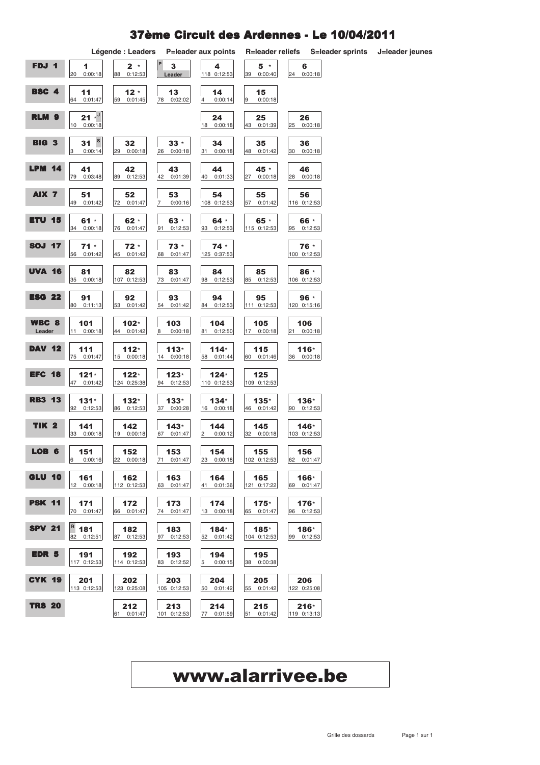#### 37ème Circuit des Ardennes - Le 10/04/2011

|                  |                                               | Légende : Leaders      |                                  | P=leader aux points              | <b>R=leader reliefs</b> |                       | S=leader sprints | J=leader jeunes |
|------------------|-----------------------------------------------|------------------------|----------------------------------|----------------------------------|-------------------------|-----------------------|------------------|-----------------|
| FDJ 1            | 1<br>0:00:18<br>20                            | $2 *$<br>88<br>0:12:53 | $\mathbf{3}$<br>Leader           | 4<br>118 0:12:53                 | $5*$<br>39<br>0:00:40   | 6<br>24 0:00:18       |                  |                 |
| BSC 4            | 11<br>64 0:01:47                              | $12 *$<br>59 0:01:45   | 13<br>78  0:02:02                | 14<br>0:00:14<br>4               | 15<br>9<br>0:00:18      |                       |                  |                 |
| RLM <sub>9</sub> | $21 \times 1$<br>10 0:00:18                   |                        |                                  | 24<br>0:00:18<br>18              | 25<br>43 0:01:39        | 26<br>25 0:00:18      |                  |                 |
| <b>BIG 3</b>     | $\mathbf{s}$<br>31<br>$\mathbf{3}$<br>0:00:14 | 32<br>29 0:00:18       | $33 *$<br>26 0:00:18             | 34<br>31 0:00:18                 | 35<br>48 0:01:42        | 36<br>30 0:00:18      |                  |                 |
| LPM<br>14        | 41<br>79<br>0:03:48                           | 42<br>89 0:12:53       | 43<br>42<br>0:01:39              | 44<br>40 0:01:33                 | 45 *<br>27<br>0:00:18   | 46<br>28 0:00:18      |                  |                 |
| AIX <sub>7</sub> | 51<br>0:01:42<br>49                           | 52<br>72 0:01:47       | 53<br>0:00:16<br>$\overline{7}$  | 54<br>108 0:12:53                | 55<br>57 0:01:42        | 56<br>116 0:12:53     |                  |                 |
| <b>ETU 15</b>    | $61 *$<br>34 0:00:18                          | $62 *$<br>76 0:01:47   | $63 *$<br>91 0:12:53             | $64 *$<br>93 0:12:53             | 65 *<br>115 0:12:53     | 66 *<br>95 0:12:53    |                  |                 |
| <b>SOJ 17</b>    | $71 *$<br>0:01:42<br>56                       | $72 *$<br>45 0:01:42   | $73 *$<br>68 0:01:47             | $74 *$<br>125 0:37:53            |                         | 76 *<br>100 0:12:53   |                  |                 |
| <b>UVA 16</b>    | 81<br>35<br>0:00:18                           | 82<br>107 0:12:53      | 83<br>73 0:01:47                 | 84<br>98 0:12:53                 | 85<br>85 0:12:53        | 86 *<br>106 0:12:53   |                  |                 |
| <b>ESG 22</b>    | 91<br>80 0:11:13                              | 92<br>53 0:01:42       | 93<br>54 0:01:42                 | 94<br>84 0:12:53                 | 95<br>111 0:12:53       | 96 *<br>120 0:15:16   |                  |                 |
| WBC 8<br>Leader  | 101<br>11 0:00:18                             | $102*$<br>44 0:01:42   | 103<br>0:00:18<br>8 <sub>1</sub> | 104<br>81 0:12:50                | 105<br>17 0:00:18       | 106<br>21 0:00:18     |                  |                 |
| <b>DAV</b><br>12 | 111<br>75 0:01:47                             | $112*$<br>15 0:00:18   | $113*$<br>14 0:00:18             | $114*$<br>58 0:01:44             | 115<br>60 0:01:46       | $116*$<br>36 0:00:18  |                  |                 |
| <b>EFC 18</b>    | $121*$<br>47 0:01:42                          | $122*$<br>124 0:25:38  | $123*$<br>94 0:12:53             | $124*$<br>110 0:12:53            | 125<br>109 0:12:53      |                       |                  |                 |
| <b>RB3 13</b>    | $131*$<br>92 0:12:53                          | $132*$<br>86 0:12:53   | $133*$<br>37 0:00:28             | $134*$<br>16 0:00:18             | $135*$<br>46 0:01:42    | 136*<br>90 0:12:53    |                  |                 |
| <b>TIK 2</b>     | 141<br>33 0:00:18                             | 142<br>19 0:00:18      | $143*$<br>67 0:01:47             | 144<br>$\overline{2}$<br>0:00:12 | 145<br>32 0:00:18       | 146*<br>103 0:12:53   |                  |                 |
| LOB 6            | 151<br>6 0:00:16                              | 152<br>22 0:00:18      | 153<br>71 0:01:47                | 154<br>23 0:00:18                | 155<br>102 0:12:53      | 156<br>62 0:01:47     |                  |                 |
| <b>GLU 10</b>    | 161<br>12 0:00:18                             | 162<br>112 0:12:53     | 163<br>63 0:01:47                | 164<br>41 0:01:36                | 165<br>121 0:17:22      | 166*<br>69 0:01:47    |                  |                 |
| <b>PSK 11</b>    | 171<br>70 0:01:47                             | 172<br>66 0:01:47      | 173<br>74 0:01:47                | 174<br>13 0:00:18                | $175*$<br>65 0:01:47    | $176*$<br>96 0:12:53  |                  |                 |
| <b>SPV 21</b>    | $\vert$ <sup>R</sup> 181<br>82 0:12:51        | 182<br>87 0:12:53      | 183<br>97 0:12:53                | $184*$<br>52 0:01:42             | 185*<br>104 0:12:53     | 186*<br>99 0:12:53    |                  |                 |
| <b>EDR 5</b>     | 191<br>117 0:12:53                            | 192<br>114 0:12:53     | 193<br>83 0:12:52                | 194<br>5 0:00:15                 | 195<br>38 0:00:38       |                       |                  |                 |
| <b>CYK 19</b>    | 201<br>113 0:12:53                            | 202<br>123 0:25:08     | 203<br>105 0:12:53               | 204<br>50 0:01:42                | 205<br>55 0:01:42       | 206<br>122 0:25:08    |                  |                 |
| <b>TRS 20</b>    |                                               | 212<br>61 0:01:47      | 213<br>101 0:12:53               | 214<br>77 0:01:59                | 215<br>51 0:01:42       | $216*$<br>119 0:13:13 |                  |                 |